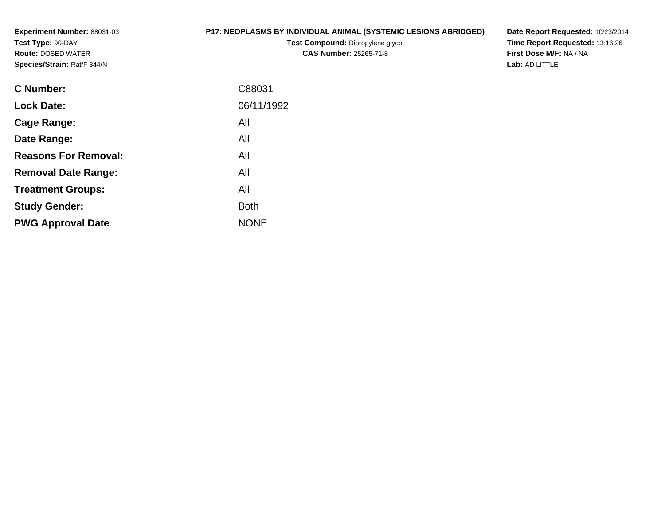**Experiment Number:** 88031-03**Test Type:** 90-DAY **Route:** DOSED WATER**Species/Strain:** Rat/F 344/N

# **P17: NEOPLASMS BY INDIVIDUAL ANIMAL (SYSTEMIC LESIONS ABRIDGED)**

**Test Compound:** Dipropylene glycol **CAS Number:** 25265-71-8

**Date Report Requested:** 10/23/2014 **Time Report Requested:** 13:16:26**First Dose M/F:** NA / NA**Lab:** AD LITTLE

| <b>C</b> Number:            | C88031      |
|-----------------------------|-------------|
| <b>Lock Date:</b>           | 06/11/1992  |
| Cage Range:                 | All         |
| Date Range:                 | All         |
| <b>Reasons For Removal:</b> | All         |
| <b>Removal Date Range:</b>  | All         |
| <b>Treatment Groups:</b>    | All         |
| <b>Study Gender:</b>        | <b>Both</b> |
| <b>PWG Approval Date</b>    | <b>NONE</b> |
|                             |             |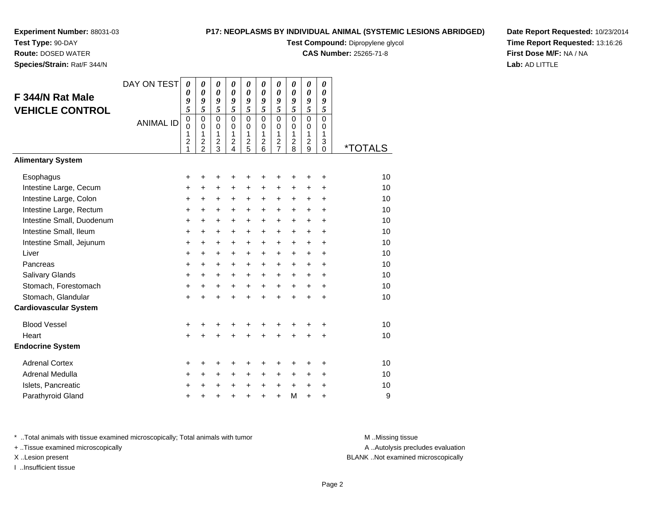# **Test Type:** 90-DAY

 **Route:** DOSED WATER**Species/Strain:** Rat/F 344/N

### **P17: NEOPLASMS BY INDIVIDUAL ANIMAL (SYSTEMIC LESIONS ABRIDGED)**

**Test Compound:** Dipropylene glycol

**CAS Number:** 25265-71-8

**Date Report Requested:** 10/23/2014**Time Report Requested:** 13:16:26**First Dose M/F:** NA / NA**Lab:** AD LITTLE

|                              | DAY ON TEST      | 0                   | $\boldsymbol{\theta}$                     | 0                                | 0                                | 0                                | 0                           | 0                          | 0                   | 0                            | 0                           |                       |
|------------------------------|------------------|---------------------|-------------------------------------------|----------------------------------|----------------------------------|----------------------------------|-----------------------------|----------------------------|---------------------|------------------------------|-----------------------------|-----------------------|
| F 344/N Rat Male             |                  | 0<br>9              | $\boldsymbol{\theta}$<br>9                | $\boldsymbol{\theta}$<br>9       | $\boldsymbol{\theta}$<br>9       | 0<br>9                           | $\boldsymbol{\theta}$<br>9  | $\boldsymbol{\theta}$<br>9 | 0<br>9              | 0<br>9                       | 0<br>9                      |                       |
| <b>VEHICLE CONTROL</b>       |                  | 5                   | $\overline{5}$                            | $\overline{5}$                   | $\overline{5}$                   | 5                                | 5                           | $\overline{5}$             | $\overline{5}$      | $\overline{5}$               | 5                           |                       |
|                              | <b>ANIMAL ID</b> | $\mathbf 0$         | $\mathbf 0$                               | $\mathbf 0$                      | $\mathbf 0$                      | $\mathbf 0$                      | $\mathbf 0$                 | $\mathbf 0$                | 0                   | $\overline{0}$               | $\mathbf 0$                 |                       |
|                              |                  | $\mathbf 0$<br>1    | $\mathbf 0$<br>$\mathbf{1}$               | $\mathbf 0$<br>1                 | $\mathbf 0$<br>$\mathbf{1}$      | $\mathbf 0$<br>$\mathbf{1}$      | $\mathbf 0$<br>$\mathbf{1}$ | $\mathbf 0$<br>1           | 0<br>$\mathbf{1}$   | $\mathbf 0$<br>1             | $\mathbf 0$<br>$\mathbf{1}$ |                       |
|                              |                  | $\overline{c}$<br>1 | $\overline{\mathbf{c}}$<br>$\overline{2}$ | $\overline{c}$<br>$\overline{3}$ | $\overline{c}$<br>$\overline{4}$ | $\overline{c}$<br>$\overline{5}$ | 2<br>6                      | $\frac{2}{7}$              | $\overline{c}$<br>8 | $\overline{\mathbf{c}}$<br>9 | 3<br>$\Omega$               | <i><b>*TOTALS</b></i> |
| <b>Alimentary System</b>     |                  |                     |                                           |                                  |                                  |                                  |                             |                            |                     |                              |                             |                       |
|                              |                  |                     |                                           |                                  |                                  |                                  |                             |                            |                     |                              |                             |                       |
| Esophagus                    |                  | +                   | +                                         | ٠                                | +                                | +                                | ٠                           | ٠                          | ٠                   | ٠                            | ÷                           | 10                    |
| Intestine Large, Cecum       |                  | +                   | $\ddot{}$                                 | $\ddot{}$                        | $\ddot{}$                        | $\ddot{}$                        | $\ddot{}$                   | $+$                        | $\ddot{}$           | $\ddot{}$                    | $+$                         | 10                    |
| Intestine Large, Colon       |                  | +                   | $\ddot{}$                                 | $\ddot{}$                        | +                                | +                                | $\ddot{}$                   | $\pm$                      | $\ddot{}$           | $\ddot{}$                    | $\ddot{}$                   | 10                    |
| Intestine Large, Rectum      |                  | +                   | +                                         | +                                | +                                | +                                | +                           | $\ddot{}$                  | +                   | +                            | $\ddot{}$                   | 10                    |
| Intestine Small, Duodenum    |                  | $\ddot{}$           | $\ddot{}$                                 | $\ddot{}$                        | $\ddot{}$                        | $\ddot{}$                        | $\ddot{}$                   | $\ddot{}$                  | $\ddot{}$           | $\ddot{}$                    | $\ddot{}$                   | 10                    |
| Intestine Small, Ileum       |                  | $\ddot{}$           | $\ddot{}$                                 | $+$                              | $+$                              | $\ddot{}$                        | $+$                         | $+$                        | $+$                 | $+$                          | $+$                         | 10                    |
| Intestine Small, Jejunum     |                  | $\ddot{}$           | $\ddot{}$                                 | $\ddot{}$                        | $\ddot{}$                        | $\ddot{}$                        | $\ddot{}$                   | $+$                        | $\ddot{}$           | $\ddot{}$                    | $\ddot{}$                   | 10                    |
| Liver                        |                  | +                   | $\ddot{}$                                 | $\ddot{}$                        | $\ddot{}$                        | $\ddot{}$                        | $\ddot{}$                   | $\ddot{}$                  | $+$                 | $\ddot{}$                    | $\ddot{}$                   | 10                    |
| Pancreas                     |                  | +                   | +                                         | $\ddot{}$                        | $\ddot{}$                        | +                                | $\ddot{}$                   | $+$                        | $+$                 | $\ddot{}$                    | $\ddot{}$                   | 10                    |
| <b>Salivary Glands</b>       |                  | $\ddot{}$           | $\ddot{}$                                 | $\ddot{}$                        | $\ddot{}$                        | $\ddot{}$                        | $\ddot{}$                   | $\ddot{}$                  | $\ddot{}$           | $\ddot{}$                    | $+$                         | 10                    |
| Stomach, Forestomach         |                  | $\ddot{}$           | +                                         | $\ddot{}$                        | $\ddot{}$                        | $\ddot{}$                        | $+$                         | $+$                        | $+$                 | $+$                          | $+$                         | 10                    |
| Stomach, Glandular           |                  | $\ddot{}$           | ÷                                         | $\ddot{}$                        | $\ddot{}$                        | $\ddot{}$                        | $\ddot{}$                   | $\ddot{}$                  | $\ddot{}$           | $+$                          | $\ddot{}$                   | 10                    |
| <b>Cardiovascular System</b> |                  |                     |                                           |                                  |                                  |                                  |                             |                            |                     |                              |                             |                       |
| <b>Blood Vessel</b>          |                  | $\pmb{+}$           | +                                         | +                                | +                                | +                                | +                           | +                          | +                   | +                            | +                           | 10                    |
| Heart                        |                  | $\ddot{}$           | $\ddot{}$                                 | $\ddot{}$                        | ÷                                | $\ddot{}$                        | $\ddot{}$                   | $\ddot{}$                  | $\ddot{}$           | $\ddot{}$                    | $\ddot{}$                   | 10                    |
| <b>Endocrine System</b>      |                  |                     |                                           |                                  |                                  |                                  |                             |                            |                     |                              |                             |                       |
| <b>Adrenal Cortex</b>        |                  | +                   | +                                         | +                                | +                                | +                                | +                           | +                          | +                   | +                            | +                           | 10                    |
| Adrenal Medulla              |                  | $\ddot{}$           | $\ddot{}$                                 | $\ddot{}$                        | $\ddot{}$                        | $\ddot{}$                        | $\ddot{}$                   | $+$                        | $+$                 | $\ddot{}$                    | $+$                         | 10                    |
| Islets, Pancreatic           |                  | +                   | +                                         | $\ddot{}$                        | $\ddot{}$                        | $\ddot{}$                        | $\ddot{}$                   | $\ddot{}$                  | $\ddot{}$           | $\ddot{}$                    | $\ddot{}$                   | 10                    |
| Parathyroid Gland            |                  | +                   |                                           |                                  | +                                | $\ddot{}$                        | $\ddot{}$                   | $\ddot{}$                  | M                   | $\ddot{}$                    | $\ddot{}$                   | 9                     |

\* ..Total animals with tissue examined microscopically; Total animals with tumor **M** . Missing tissue M ..Missing tissue

+ ..Tissue examined microscopically

I ..Insufficient tissue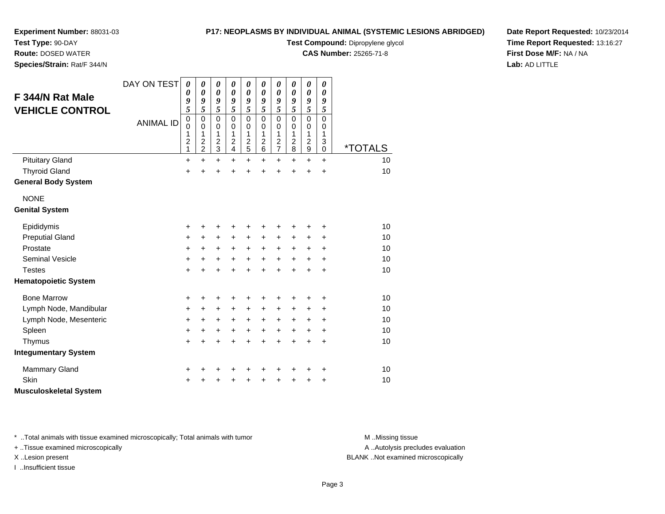**Route:** DOSED WATER**Species/Strain:** Rat/F 344/N

### **P17: NEOPLASMS BY INDIVIDUAL ANIMAL (SYSTEMIC LESIONS ABRIDGED)**

**Test Compound:** Dipropylene glycol

**CAS Number:** 25265-71-8

**Date Report Requested:** 10/23/2014**Time Report Requested:** 13:16:27**First Dose M/F:** NA / NA**Lab:** AD LITTLE

| F 344/N Rat Male<br><b>VEHICLE CONTROL</b> | DAY ON TEST<br><b>ANIMAL ID</b> | 0<br>0<br>9<br>5<br>$\pmb{0}$<br>$\mathbf 0$<br>1<br>$\boldsymbol{2}$<br>1 | 0<br>0<br>9<br>5<br>$\mathbf 0$<br>0<br>1<br>$\boldsymbol{2}$<br>$\overline{2}$ | 0<br>$\boldsymbol{\theta}$<br>9<br>5<br>$\mathbf 0$<br>0<br>1<br>$\overline{c}$<br>$\mathbf{3}$ | 0<br>0<br>9<br>5<br>$\mathbf 0$<br>0<br>1<br>$\overline{c}$<br>$\overline{4}$ | 0<br>0<br>9<br>5<br>$\mathbf 0$<br>0<br>1<br>$\boldsymbol{2}$<br>5 | 0<br>0<br>9<br>5<br>$\Omega$<br>$\Omega$<br>1<br>$\overline{\mathbf{c}}$<br>6 | 0<br>0<br>9<br>5<br>$\mathbf 0$<br>0<br>1<br>$\boldsymbol{2}$<br>$\overline{7}$ | 0<br>$\boldsymbol{\theta}$<br>9<br>5<br>$\Omega$<br>0<br>1<br>$\overline{c}$<br>8 | 0<br>$\boldsymbol{\theta}$<br>9<br>5<br>$\mathbf 0$<br>$\mathbf 0$<br>$\mathbf{1}$<br>$\overline{c}$<br>$\boldsymbol{9}$ | 0<br>0<br>9<br>5<br>$\mathbf 0$<br>0<br>1<br>3<br>$\mathbf 0$ | <i><b>*TOTALS</b></i> |
|--------------------------------------------|---------------------------------|----------------------------------------------------------------------------|---------------------------------------------------------------------------------|-------------------------------------------------------------------------------------------------|-------------------------------------------------------------------------------|--------------------------------------------------------------------|-------------------------------------------------------------------------------|---------------------------------------------------------------------------------|-----------------------------------------------------------------------------------|--------------------------------------------------------------------------------------------------------------------------|---------------------------------------------------------------|-----------------------|
| <b>Pituitary Gland</b>                     |                                 | $\ddot{}$                                                                  | $\ddot{}$                                                                       | $\ddot{}$                                                                                       | +                                                                             | $\ddot{}$                                                          | $\ddot{}$                                                                     | $\ddot{}$                                                                       | +                                                                                 | $\ddot{}$                                                                                                                | $\ddot{}$                                                     | 10                    |
| <b>Thyroid Gland</b>                       |                                 | $\ddot{}$                                                                  | ÷                                                                               | $\ddot{}$                                                                                       | $\ddot{}$                                                                     | $\ddot{}$                                                          | $\ddot{}$                                                                     | $\ddot{}$                                                                       | $\ddot{}$                                                                         | $\ddot{}$                                                                                                                | $\ddot{}$                                                     | 10                    |
| <b>General Body System</b>                 |                                 |                                                                            |                                                                                 |                                                                                                 |                                                                               |                                                                    |                                                                               |                                                                                 |                                                                                   |                                                                                                                          |                                                               |                       |
| <b>NONE</b>                                |                                 |                                                                            |                                                                                 |                                                                                                 |                                                                               |                                                                    |                                                                               |                                                                                 |                                                                                   |                                                                                                                          |                                                               |                       |
| <b>Genital System</b>                      |                                 |                                                                            |                                                                                 |                                                                                                 |                                                                               |                                                                    |                                                                               |                                                                                 |                                                                                   |                                                                                                                          |                                                               |                       |
| Epididymis                                 |                                 | $\ddot{}$                                                                  |                                                                                 | +                                                                                               | +                                                                             | +                                                                  | +                                                                             | +                                                                               |                                                                                   |                                                                                                                          | +                                                             | 10                    |
| <b>Preputial Gland</b>                     |                                 | +                                                                          | +                                                                               | +                                                                                               | +                                                                             | +                                                                  | +                                                                             | +                                                                               | $\pm$                                                                             | $\ddot{}$                                                                                                                | +                                                             | 10                    |
| Prostate                                   |                                 | +                                                                          | $\ddot{}$                                                                       | $\ddot{}$                                                                                       | $+$                                                                           | $\ddot{}$                                                          | $\ddot{}$                                                                     | $\ddot{}$                                                                       | $\ddot{}$                                                                         | $\ddot{}$                                                                                                                | $\ddot{}$                                                     | 10                    |
| <b>Seminal Vesicle</b>                     |                                 | +                                                                          | $\ddot{}$                                                                       | $\ddot{}$                                                                                       | $\ddot{}$                                                                     | $\ddot{}$                                                          | $\ddot{}$                                                                     | $\ddot{}$                                                                       | $\ddot{}$                                                                         | $\ddot{}$                                                                                                                | $\ddot{}$                                                     | 10                    |
| <b>Testes</b>                              |                                 | $\ddot{}$                                                                  |                                                                                 | $\ddot{}$                                                                                       | $\ddot{}$                                                                     | $\ddot{}$                                                          | $\ddot{}$                                                                     | $\ddot{}$                                                                       | $\ddot{}$                                                                         | $\ddot{}$                                                                                                                | $\ddot{}$                                                     | 10                    |
| <b>Hematopoietic System</b>                |                                 |                                                                            |                                                                                 |                                                                                                 |                                                                               |                                                                    |                                                                               |                                                                                 |                                                                                   |                                                                                                                          |                                                               |                       |
| <b>Bone Marrow</b>                         |                                 | +                                                                          | +                                                                               | +                                                                                               | +                                                                             | +                                                                  | +                                                                             | +                                                                               |                                                                                   | +                                                                                                                        | ٠                                                             | 10                    |
| Lymph Node, Mandibular                     |                                 | $\ddot{}$                                                                  | $\ddot{}$                                                                       | $\ddot{}$                                                                                       | $\ddot{}$                                                                     | $\ddot{}$                                                          | $\ddot{}$                                                                     | +                                                                               | +                                                                                 | +                                                                                                                        | +                                                             | 10                    |
| Lymph Node, Mesenteric                     |                                 | $\ddot{}$                                                                  | +                                                                               | +                                                                                               | +                                                                             | $\ddot{}$                                                          | $\ddot{}$                                                                     | $\ddot{}$                                                                       | +                                                                                 | +                                                                                                                        | $\ddot{}$                                                     | 10                    |
| Spleen                                     |                                 | $\ddot{}$                                                                  | +                                                                               | +                                                                                               | +                                                                             | $\ddot{}$                                                          | +                                                                             | $\ddot{}$                                                                       | $\ddot{}$                                                                         | $\ddot{}$                                                                                                                | $\ddot{}$                                                     | 10                    |
| Thymus                                     |                                 | $\ddot{}$                                                                  |                                                                                 | $\ddot{}$                                                                                       | $\ddot{}$                                                                     | $\ddot{}$                                                          | $\ddot{}$                                                                     | $\ddot{}$                                                                       | $\ddot{}$                                                                         | $\ddot{}$                                                                                                                | $\ddot{}$                                                     | 10                    |
| <b>Integumentary System</b>                |                                 |                                                                            |                                                                                 |                                                                                                 |                                                                               |                                                                    |                                                                               |                                                                                 |                                                                                   |                                                                                                                          |                                                               |                       |
| <b>Mammary Gland</b>                       |                                 | +                                                                          |                                                                                 | +                                                                                               | +                                                                             | +                                                                  | +                                                                             | +                                                                               | +                                                                                 | ٠                                                                                                                        | +                                                             | 10                    |
| Skin                                       |                                 | +                                                                          |                                                                                 |                                                                                                 |                                                                               | +                                                                  | +                                                                             | +                                                                               | +                                                                                 | +                                                                                                                        | +                                                             | 10                    |
| <b>Musculoskeletal System</b>              |                                 |                                                                            |                                                                                 |                                                                                                 |                                                                               |                                                                    |                                                                               |                                                                                 |                                                                                   |                                                                                                                          |                                                               |                       |

\* ..Total animals with tissue examined microscopically; Total animals with tumor **M** . Missing tissue M ..Missing tissue

+ ..Tissue examined microscopically

I ..Insufficient tissue

A ..Autolysis precludes evaluation

X ..Lesion present BLANK ..Not examined microscopically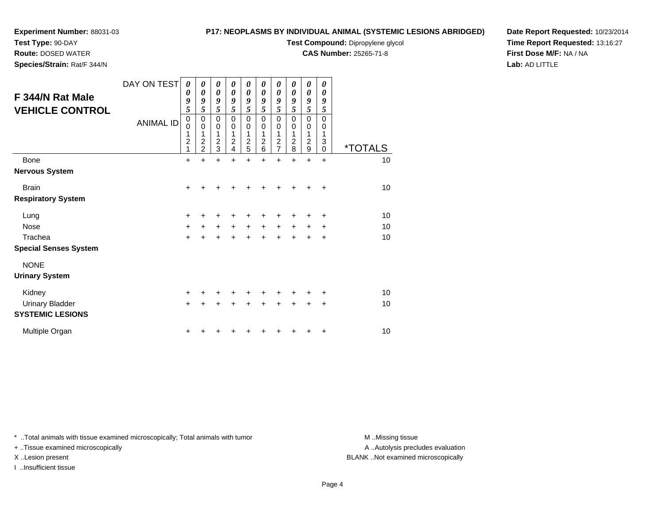# **Test Type:** 90-DAY

**Route:** DOSED WATER

**Species/Strain:** Rat/F 344/N

# **P17: NEOPLASMS BY INDIVIDUAL ANIMAL (SYSTEMIC LESIONS ABRIDGED)**

**Test Compound:** Dipropylene glycol

**CAS Number:** 25265-71-8

**Date Report Requested:** 10/23/2014**Time Report Requested:** 13:16:27**First Dose M/F:** NA / NA**Lab:** AD LITTLE

| F 344/N Rat Male<br><b>VEHICLE CONTROL</b> | DAY ON TEST<br><b>ANIMAL ID</b> | $\boldsymbol{\theta}$<br>0<br>9<br>5<br>$\boldsymbol{0}$<br>$\mathbf 0$<br>1<br>$\overline{\mathbf{c}}$<br>1 | 0<br>0<br>9<br>5<br>0<br>0<br>1<br>$\overline{\mathbf{c}}$<br>$\overline{2}$ | 0<br>$\boldsymbol{\theta}$<br>9<br>5<br>$\mathbf 0$<br>$\mathbf 0$<br>1<br>$\frac{2}{3}$ | 0<br>0<br>9<br>5<br>$\mathbf 0$<br>$\mathbf 0$<br>1<br>2<br>4 | 0<br>$\boldsymbol{\theta}$<br>9<br>5<br>$\mathbf 0$<br>$\mathbf 0$<br>1<br>$\frac{2}{5}$ | 0<br>0<br>9<br>5<br>$\mathbf 0$<br>$\mathbf 0$<br>1<br>$\overline{\mathbf{c}}$<br>6 | 0<br>$\boldsymbol{\theta}$<br>9<br>5<br>$\mathbf 0$<br>$\mathbf 0$<br>1<br>$\frac{2}{7}$ | 0<br>0<br>9<br>5<br>$\mathbf 0$<br>$\mathbf 0$<br>1<br>$\overline{c}$<br>8 | $\boldsymbol{\theta}$<br>$\boldsymbol{\theta}$<br>9<br>5<br>$\mathbf 0$<br>$\mathbf 0$<br>1<br>$\frac{2}{9}$ | 0<br>0<br>9<br>5<br>$\Omega$<br>0<br>1<br>3<br>$\Omega$ | <i><b>*TOTALS</b></i> |
|--------------------------------------------|---------------------------------|--------------------------------------------------------------------------------------------------------------|------------------------------------------------------------------------------|------------------------------------------------------------------------------------------|---------------------------------------------------------------|------------------------------------------------------------------------------------------|-------------------------------------------------------------------------------------|------------------------------------------------------------------------------------------|----------------------------------------------------------------------------|--------------------------------------------------------------------------------------------------------------|---------------------------------------------------------|-----------------------|
| <b>Bone</b>                                |                                 | +                                                                                                            | $\ddot{}$                                                                    | $\ddot{}$                                                                                | $\ddot{}$                                                     | $\ddot{}$                                                                                | $\ddot{}$                                                                           | $\ddot{}$                                                                                | $\ddot{}$                                                                  | $\ddot{}$                                                                                                    | $\ddot{}$                                               | 10                    |
| <b>Nervous System</b>                      |                                 |                                                                                                              |                                                                              |                                                                                          |                                                               |                                                                                          |                                                                                     |                                                                                          |                                                                            |                                                                                                              |                                                         |                       |
| <b>Brain</b>                               |                                 | +                                                                                                            | +                                                                            | ٠                                                                                        |                                                               | +                                                                                        |                                                                                     | +                                                                                        | +                                                                          | +                                                                                                            | $\ddot{}$                                               | 10                    |
| <b>Respiratory System</b>                  |                                 |                                                                                                              |                                                                              |                                                                                          |                                                               |                                                                                          |                                                                                     |                                                                                          |                                                                            |                                                                                                              |                                                         |                       |
| Lung                                       |                                 | +                                                                                                            | ٠                                                                            | +                                                                                        | +                                                             | +                                                                                        | ٠                                                                                   | +                                                                                        | +                                                                          | +                                                                                                            | $\ddot{}$                                               | 10                    |
| <b>Nose</b>                                |                                 | +                                                                                                            | $\ddot{}$                                                                    | $\ddot{}$                                                                                | $+$                                                           | $\ddot{}$                                                                                | $\ddot{}$                                                                           | $\ddot{}$                                                                                | $\ddot{}$                                                                  | $\ddot{}$                                                                                                    | $\ddot{}$                                               | 10                    |
| Trachea                                    |                                 | $\ddot{}$                                                                                                    | +                                                                            | +                                                                                        | +                                                             | +                                                                                        | +                                                                                   | ÷                                                                                        |                                                                            | +                                                                                                            | +                                                       | 10                    |
| <b>Special Senses System</b>               |                                 |                                                                                                              |                                                                              |                                                                                          |                                                               |                                                                                          |                                                                                     |                                                                                          |                                                                            |                                                                                                              |                                                         |                       |
| <b>NONE</b>                                |                                 |                                                                                                              |                                                                              |                                                                                          |                                                               |                                                                                          |                                                                                     |                                                                                          |                                                                            |                                                                                                              |                                                         |                       |
| <b>Urinary System</b>                      |                                 |                                                                                                              |                                                                              |                                                                                          |                                                               |                                                                                          |                                                                                     |                                                                                          |                                                                            |                                                                                                              |                                                         |                       |
| Kidney                                     |                                 | +                                                                                                            |                                                                              | ÷                                                                                        | +                                                             | +                                                                                        |                                                                                     | ٠                                                                                        |                                                                            |                                                                                                              | ٠                                                       | 10                    |
| <b>Urinary Bladder</b>                     |                                 | $\ddot{}$                                                                                                    | +                                                                            | $\ddot{}$                                                                                | $\ddot{}$                                                     | $\ddot{}$                                                                                | $\ddot{}$                                                                           | $\ddot{}$                                                                                | $\ddot{}$                                                                  | $\ddot{}$                                                                                                    | $\ddot{}$                                               | 10                    |
| <b>SYSTEMIC LESIONS</b>                    |                                 |                                                                                                              |                                                                              |                                                                                          |                                                               |                                                                                          |                                                                                     |                                                                                          |                                                                            |                                                                                                              |                                                         |                       |
| Multiple Organ                             |                                 | +                                                                                                            |                                                                              |                                                                                          |                                                               |                                                                                          |                                                                                     |                                                                                          |                                                                            |                                                                                                              | $\ddot{}$                                               | 10                    |

\* ..Total animals with tissue examined microscopically; Total animals with tumor **M** . Missing tissue M ..Missing tissue

+ ..Tissue examined microscopically

I ..Insufficient tissue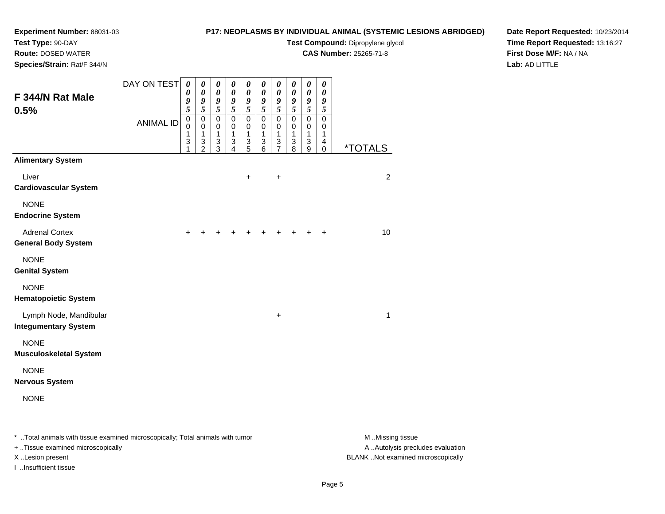**Route:** DOSED WATER**Species/Strain:** Rat/F 344/N

## **P17: NEOPLASMS BY INDIVIDUAL ANIMAL (SYSTEMIC LESIONS ABRIDGED)**

**Test Compound:** Dipropylene glycol

**CAS Number:** 25265-71-8

**Date Report Requested:** 10/23/2014**Time Report Requested:** 13:16:27**First Dose M/F:** NA / NA**Lab:** AD LITTLE

| F 344/N Rat Male<br>0.5%                              | DAY ON TEST<br><b>ANIMAL ID</b> | 0<br>$\pmb{\theta}$<br>9<br>$\tilde{s}$<br>$\mathbf 0$<br>$\mathbf 0$<br>1<br>3<br>1 | $\boldsymbol{\theta}$<br>$\pmb{\theta}$<br>$\frac{9}{5}$<br>$\pmb{0}$<br>$\mathbf 0$<br>1<br>$\,$ 3 $\,$<br>$\overline{2}$ | $\boldsymbol{\theta}$<br>$\boldsymbol{\theta}$<br>$\frac{9}{5}$<br>$\pmb{0}$<br>$\mathbf 0$<br>1<br>$\ensuremath{\mathsf{3}}$<br>3 | $\boldsymbol{\theta}$<br>$\boldsymbol{\theta}$<br>$\frac{9}{5}$<br>$\pmb{0}$<br>$\mathbf 0$<br>1<br>$\ensuremath{\mathsf{3}}$<br>4 | $\pmb{\theta}$<br>$\boldsymbol{\theta}$<br>$\frac{9}{5}$<br>$\pmb{0}$<br>$\mathbf 0$<br>$\mathbf{1}$<br>$\ensuremath{\mathsf{3}}$<br>$\overline{5}$ | $\boldsymbol{\theta}$<br>$\pmb{\theta}$<br>$\frac{9}{5}$<br>$\mathsf 0$<br>$\mathbf 0$<br>$\mathbf{1}$<br>$\ensuremath{\mathsf{3}}$<br>$6\phantom{a}$ | $\pmb{\theta}$<br>$\boldsymbol{\theta}$<br>$\frac{9}{5}$<br>$\mathsf 0$<br>$\pmb{0}$<br>$\mathbf{1}$<br>$\ensuremath{\mathsf{3}}$<br>$\overline{7}$ | 0<br>$\boldsymbol{\theta}$<br>9<br>$\overline{5}$<br>$\pmb{0}$<br>$\mathbf 0$<br>$\mathbf{1}$<br>$\sqrt{3}$<br>8 | $\pmb{\theta}$<br>$\boldsymbol{\theta}$<br>$\boldsymbol{9}$<br>$\overline{\mathbf{5}}$<br>$\mathsf 0$<br>$\pmb{0}$<br>$\mathbf{1}$<br>$\sqrt{3}$<br>9 | $\boldsymbol{\theta}$<br>$\boldsymbol{\theta}$<br>9<br>$\sqrt{5}$<br>$\pmb{0}$<br>$\pmb{0}$<br>$\mathbf{1}$<br>4<br>$\mathbf 0$ | <i><b>*TOTALS</b></i> |
|-------------------------------------------------------|---------------------------------|--------------------------------------------------------------------------------------|----------------------------------------------------------------------------------------------------------------------------|------------------------------------------------------------------------------------------------------------------------------------|------------------------------------------------------------------------------------------------------------------------------------|-----------------------------------------------------------------------------------------------------------------------------------------------------|-------------------------------------------------------------------------------------------------------------------------------------------------------|-----------------------------------------------------------------------------------------------------------------------------------------------------|------------------------------------------------------------------------------------------------------------------|-------------------------------------------------------------------------------------------------------------------------------------------------------|---------------------------------------------------------------------------------------------------------------------------------|-----------------------|
| <b>Alimentary System</b>                              |                                 |                                                                                      |                                                                                                                            |                                                                                                                                    |                                                                                                                                    |                                                                                                                                                     |                                                                                                                                                       |                                                                                                                                                     |                                                                                                                  |                                                                                                                                                       |                                                                                                                                 |                       |
| Liver<br><b>Cardiovascular System</b>                 |                                 |                                                                                      |                                                                                                                            |                                                                                                                                    |                                                                                                                                    | $\ddot{}$                                                                                                                                           |                                                                                                                                                       | +                                                                                                                                                   |                                                                                                                  |                                                                                                                                                       |                                                                                                                                 | 2                     |
| <b>NONE</b><br><b>Endocrine System</b>                |                                 |                                                                                      |                                                                                                                            |                                                                                                                                    |                                                                                                                                    |                                                                                                                                                     |                                                                                                                                                       |                                                                                                                                                     |                                                                                                                  |                                                                                                                                                       |                                                                                                                                 |                       |
| <b>Adrenal Cortex</b><br><b>General Body System</b>   |                                 | ÷                                                                                    |                                                                                                                            |                                                                                                                                    |                                                                                                                                    |                                                                                                                                                     |                                                                                                                                                       |                                                                                                                                                     |                                                                                                                  |                                                                                                                                                       | $\ddot{}$                                                                                                                       | 10                    |
| <b>NONE</b><br><b>Genital System</b>                  |                                 |                                                                                      |                                                                                                                            |                                                                                                                                    |                                                                                                                                    |                                                                                                                                                     |                                                                                                                                                       |                                                                                                                                                     |                                                                                                                  |                                                                                                                                                       |                                                                                                                                 |                       |
| <b>NONE</b><br><b>Hematopoietic System</b>            |                                 |                                                                                      |                                                                                                                            |                                                                                                                                    |                                                                                                                                    |                                                                                                                                                     |                                                                                                                                                       |                                                                                                                                                     |                                                                                                                  |                                                                                                                                                       |                                                                                                                                 |                       |
| Lymph Node, Mandibular<br><b>Integumentary System</b> |                                 |                                                                                      |                                                                                                                            |                                                                                                                                    |                                                                                                                                    |                                                                                                                                                     |                                                                                                                                                       | +                                                                                                                                                   |                                                                                                                  |                                                                                                                                                       |                                                                                                                                 | $\mathbf{1}$          |
| <b>NONE</b><br><b>Musculoskeletal System</b>          |                                 |                                                                                      |                                                                                                                            |                                                                                                                                    |                                                                                                                                    |                                                                                                                                                     |                                                                                                                                                       |                                                                                                                                                     |                                                                                                                  |                                                                                                                                                       |                                                                                                                                 |                       |
| <b>NONE</b><br><b>Nervous System</b>                  |                                 |                                                                                      |                                                                                                                            |                                                                                                                                    |                                                                                                                                    |                                                                                                                                                     |                                                                                                                                                       |                                                                                                                                                     |                                                                                                                  |                                                                                                                                                       |                                                                                                                                 |                       |
| <b>NONE</b>                                           |                                 |                                                                                      |                                                                                                                            |                                                                                                                                    |                                                                                                                                    |                                                                                                                                                     |                                                                                                                                                       |                                                                                                                                                     |                                                                                                                  |                                                                                                                                                       |                                                                                                                                 |                       |

\* ..Total animals with tissue examined microscopically; Total animals with tumor **M** . Missing tissue M ..Missing tissue A ..Autolysis precludes evaluation + ..Tissue examined microscopically X ..Lesion present BLANK ..Not examined microscopicallyI ..Insufficient tissue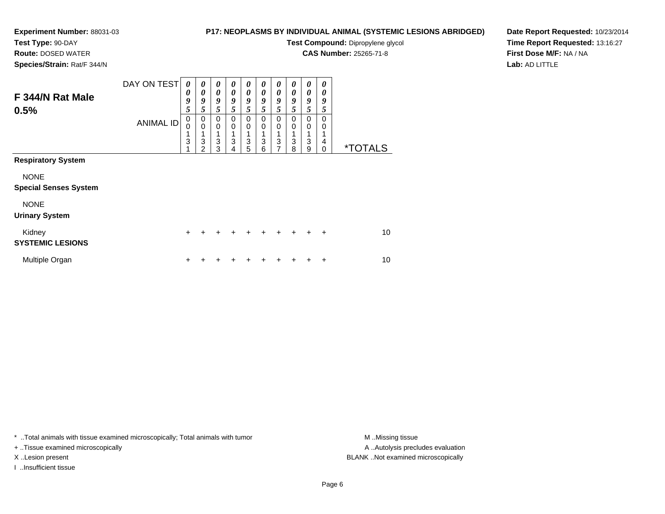**Route:** DOSED WATER**Species/Strain:** Rat/F 344/N

### **P17: NEOPLASMS BY INDIVIDUAL ANIMAL (SYSTEMIC LESIONS ABRIDGED)**

**Test Compound:** Dipropylene glycol

**CAS Number:** 25265-71-8

**Date Report Requested:** 10/23/2014**Time Report Requested:** 13:16:27**First Dose M/F:** NA / NA**Lab:** AD LITTLE

| F 344/N Rat Male<br>0.5%                    | DAY ON TEST<br><b>ANIMAL ID</b> | 0<br>0<br>9<br>5<br>0<br>0<br>$\ensuremath{\mathsf{3}}$ | 0<br>$\boldsymbol{\theta}$<br>9<br>5<br>0<br>$\mathbf 0$<br>3 | 0<br>$\boldsymbol{\theta}$<br>9<br>5<br>0<br>$\mathbf 0$<br>1<br>3 | 0<br>$\boldsymbol{\theta}$<br>9<br>5<br>0<br>0<br>1<br>3 | 0<br>$\boldsymbol{\theta}$<br>9<br>5<br>0<br>0<br>3 | 0<br>$\boldsymbol{\theta}$<br>9<br>5<br>0<br>0<br>3 | 0<br>0<br>9<br>5<br>0<br>0<br>1<br>3 | 0<br>$\boldsymbol{\theta}$<br>9<br>5<br>0<br>0<br>3 | 0<br>0<br>9<br>5<br>0<br>0<br>3 | 0<br>0<br>9<br>5<br>0<br>0<br>4 |                       |  |
|---------------------------------------------|---------------------------------|---------------------------------------------------------|---------------------------------------------------------------|--------------------------------------------------------------------|----------------------------------------------------------|-----------------------------------------------------|-----------------------------------------------------|--------------------------------------|-----------------------------------------------------|---------------------------------|---------------------------------|-----------------------|--|
| <b>Respiratory System</b>                   |                                 |                                                         | 2                                                             | 3                                                                  | 4                                                        | 5                                                   | 6                                                   | $\overline{7}$                       | 8                                                   | 9                               | 0                               | <i><b>*TOTALS</b></i> |  |
| <b>NONE</b><br><b>Special Senses System</b> |                                 |                                                         |                                                               |                                                                    |                                                          |                                                     |                                                     |                                      |                                                     |                                 |                                 |                       |  |
| <b>NONE</b><br><b>Urinary System</b>        |                                 |                                                         |                                                               |                                                                    |                                                          |                                                     |                                                     |                                      |                                                     |                                 |                                 |                       |  |
| Kidney<br><b>SYSTEMIC LESIONS</b>           |                                 | $\ddot{}$                                               |                                                               | ٠                                                                  | +                                                        | ٠                                                   | $\ddot{}$                                           | ÷                                    | $\ddot{}$                                           | ٠                               | $\ddot{}$                       | 10                    |  |
| Multiple Organ                              |                                 | ٠                                                       |                                                               |                                                                    |                                                          |                                                     |                                                     |                                      |                                                     |                                 | +                               | 10                    |  |

\* ..Total animals with tissue examined microscopically; Total animals with tumor **M** . Missing tissue M ..Missing tissue

+ ..Tissue examined microscopically

I ..Insufficient tissue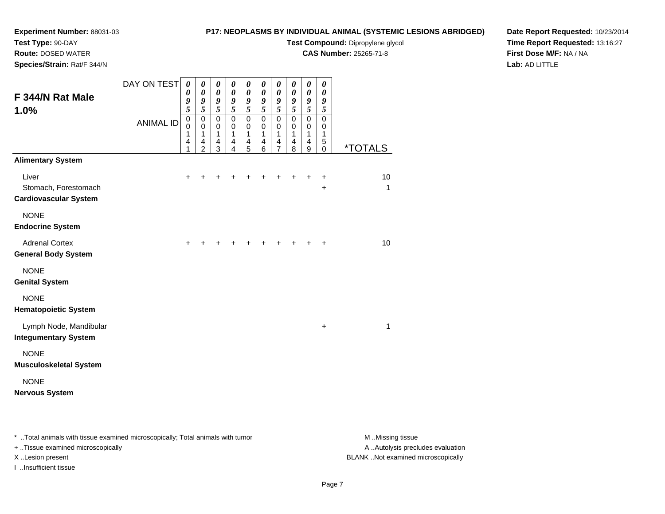**Route:** DOSED WATER

# **P17: NEOPLASMS BY INDIVIDUAL ANIMAL (SYSTEMIC LESIONS ABRIDGED)**

**Test Compound:** Dipropylene glycol

**CAS Number:** 25265-71-8

**Date Report Requested:** 10/23/2014**Time Report Requested:** 13:16:27**First Dose M/F:** NA / NA**Lab:** AD LITTLE

| Species/Strain: Rat/F 344/N                                                               |                                 |                                                               |                                                                                      |                                                                  |                                                                                                     |                                                                                                                                  |                                                                                      |                                                                                                                         |                                                                                                                 |                                                                                                                                        |                                                                                   |                       |
|-------------------------------------------------------------------------------------------|---------------------------------|---------------------------------------------------------------|--------------------------------------------------------------------------------------|------------------------------------------------------------------|-----------------------------------------------------------------------------------------------------|----------------------------------------------------------------------------------------------------------------------------------|--------------------------------------------------------------------------------------|-------------------------------------------------------------------------------------------------------------------------|-----------------------------------------------------------------------------------------------------------------|----------------------------------------------------------------------------------------------------------------------------------------|-----------------------------------------------------------------------------------|-----------------------|
| F 344/N Rat Male<br>1.0%                                                                  | DAY ON TEST<br><b>ANIMAL ID</b> | $\boldsymbol{\theta}$<br>0<br>9<br>5<br>0<br>0<br>1<br>4<br>1 | 0<br>$\boldsymbol{\theta}$<br>9<br>5<br>0<br>$\mathbf 0$<br>1<br>4<br>$\overline{2}$ | 0<br>$\pmb{\theta}$<br>9<br>5<br>$\mathsf 0$<br>0<br>1<br>4<br>3 | $\pmb{\theta}$<br>$\boldsymbol{\theta}$<br>$\frac{9}{5}$<br>$\mathbf 0$<br>$\pmb{0}$<br>1<br>4<br>4 | $\boldsymbol{\theta}$<br>$\pmb{\theta}$<br>9<br>$\overline{5}$<br>$\pmb{0}$<br>0<br>$\mathbf{1}$<br>$\overline{\mathbf{4}}$<br>5 | 0<br>$\boldsymbol{\theta}$<br>$\frac{9}{5}$<br>$\pmb{0}$<br>$\pmb{0}$<br>1<br>4<br>6 | $\boldsymbol{\theta}$<br>$\pmb{\theta}$<br>9<br>$\overline{5}$<br>$\pmb{0}$<br>0<br>$\mathbf{1}$<br>4<br>$\overline{7}$ | 0<br>$\boldsymbol{\theta}$<br>$\frac{9}{5}$<br>$\mathbf 0$<br>0<br>$\mathbf{1}$<br>$\overline{\mathbf{4}}$<br>8 | $\pmb{\theta}$<br>$\boldsymbol{\theta}$<br>$\frac{9}{5}$<br>$\mathbf 0$<br>$\mathbf 0$<br>$\mathbf{1}$<br>$\overline{\mathbf{4}}$<br>9 | $\boldsymbol{\theta}$<br>$\boldsymbol{\theta}$<br>9<br>5<br>0<br>0<br>1<br>5<br>0 | <i><b>*TOTALS</b></i> |
| <b>Alimentary System</b><br>Liver<br>Stomach, Forestomach<br><b>Cardiovascular System</b> |                                 | $\ddot{}$                                                     | +                                                                                    |                                                                  |                                                                                                     |                                                                                                                                  |                                                                                      |                                                                                                                         | $\ddot{}$                                                                                                       | $\ddot{}$                                                                                                                              | $\ddot{}$<br>$\ddot{}$                                                            | 10<br>1               |
| <b>NONE</b><br><b>Endocrine System</b>                                                    |                                 |                                                               |                                                                                      |                                                                  |                                                                                                     |                                                                                                                                  |                                                                                      |                                                                                                                         |                                                                                                                 |                                                                                                                                        |                                                                                   |                       |
| <b>Adrenal Cortex</b><br>General Body System                                              |                                 | +                                                             |                                                                                      |                                                                  |                                                                                                     |                                                                                                                                  |                                                                                      |                                                                                                                         |                                                                                                                 |                                                                                                                                        | +                                                                                 | 10                    |
| <b>NONE</b><br><b>Genital System</b>                                                      |                                 |                                                               |                                                                                      |                                                                  |                                                                                                     |                                                                                                                                  |                                                                                      |                                                                                                                         |                                                                                                                 |                                                                                                                                        |                                                                                   |                       |
| <b>NONE</b><br><b>Hematopoietic System</b>                                                |                                 |                                                               |                                                                                      |                                                                  |                                                                                                     |                                                                                                                                  |                                                                                      |                                                                                                                         |                                                                                                                 |                                                                                                                                        |                                                                                   |                       |
| Lymph Node, Mandibular<br><b>Integumentary System</b>                                     |                                 |                                                               |                                                                                      |                                                                  |                                                                                                     |                                                                                                                                  |                                                                                      |                                                                                                                         |                                                                                                                 |                                                                                                                                        | +                                                                                 | 1                     |
| <b>NONE</b><br>Musculoskeletal System                                                     |                                 |                                                               |                                                                                      |                                                                  |                                                                                                     |                                                                                                                                  |                                                                                      |                                                                                                                         |                                                                                                                 |                                                                                                                                        |                                                                                   |                       |
| <b>NONE</b><br>Nervous System                                                             |                                 |                                                               |                                                                                      |                                                                  |                                                                                                     |                                                                                                                                  |                                                                                      |                                                                                                                         |                                                                                                                 |                                                                                                                                        |                                                                                   |                       |
|                                                                                           |                                 |                                                               |                                                                                      |                                                                  |                                                                                                     |                                                                                                                                  |                                                                                      |                                                                                                                         |                                                                                                                 |                                                                                                                                        |                                                                                   |                       |

\* ..Total animals with tissue examined microscopically; Total animals with tumor **M** . Missing tissue M ..Missing tissue

+ ..Tissue examined microscopically

I ..Insufficient tissue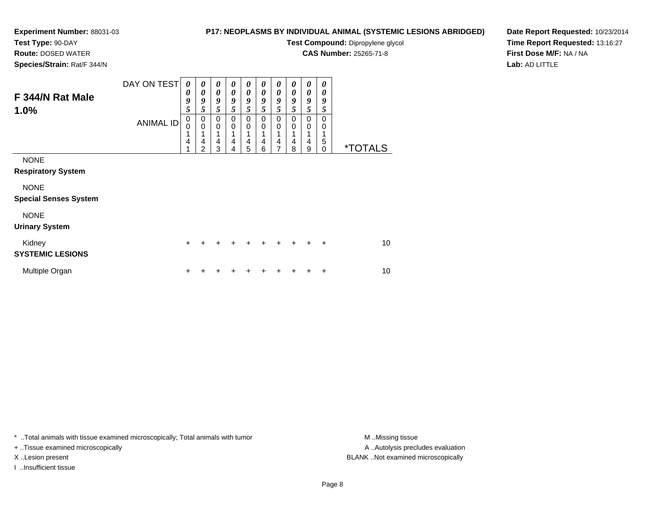**Route:** DOSED WATER**Species/Strain:** Rat/F 344/N

# **P17: NEOPLASMS BY INDIVIDUAL ANIMAL (SYSTEMIC LESIONS ABRIDGED)**

**Test Compound:** Dipropylene glycol

**CAS Number:** 25265-71-8

**Date Report Requested:** 10/23/2014**Time Report Requested:** 13:16:27**First Dose M/F:** NA / NA**Lab:** AD LITTLE

| F 344/N Rat Male<br>1.0%                    | DAY ON TEST      | 0<br>0<br>9<br>5      | 0<br>0<br>9<br>5           | 0<br>$\boldsymbol{\theta}$<br>9<br>5 | 0<br>$\boldsymbol{\theta}$<br>9<br>5 | 0<br>0<br>9<br>5           | 0<br>$\boldsymbol{\theta}$<br>9<br>5 | 0<br>$\boldsymbol{\theta}$<br>9<br>5 | 0<br>0<br>9<br>5 | 0<br>0<br>9<br>5 | 0<br>$\boldsymbol{\theta}$<br>9<br>5   |                       |
|---------------------------------------------|------------------|-----------------------|----------------------------|--------------------------------------|--------------------------------------|----------------------------|--------------------------------------|--------------------------------------|------------------|------------------|----------------------------------------|-----------------------|
|                                             | <b>ANIMAL ID</b> | $\mathbf 0$<br>0<br>4 | 0<br>$\mathbf 0$<br>4<br>2 | 0<br>$\mathbf 0$<br>4<br>3           | 0<br>$\mathbf 0$<br>1<br>4<br>4      | 0<br>$\mathbf 0$<br>4<br>5 | 0<br>$\mathbf 0$<br>4<br>6           | 0<br>0<br>4<br>7                     | 0<br>0<br>4<br>8 | 0<br>0<br>4<br>9 | $\Omega$<br>0<br>1<br>5<br>$\mathbf 0$ | <i><b>*TOTALS</b></i> |
| <b>NONE</b><br><b>Respiratory System</b>    |                  |                       |                            |                                      |                                      |                            |                                      |                                      |                  |                  |                                        |                       |
| <b>NONE</b><br><b>Special Senses System</b> |                  |                       |                            |                                      |                                      |                            |                                      |                                      |                  |                  |                                        |                       |
| <b>NONE</b><br><b>Urinary System</b>        |                  |                       |                            |                                      |                                      |                            |                                      |                                      |                  |                  |                                        |                       |
| Kidney<br><b>SYSTEMIC LESIONS</b>           |                  | ÷                     |                            |                                      |                                      |                            |                                      |                                      |                  |                  | ÷                                      | 10 <sup>1</sup>       |
| Multiple Organ                              |                  |                       |                            |                                      |                                      |                            |                                      |                                      |                  |                  | ٠                                      | 10                    |

\* ..Total animals with tissue examined microscopically; Total animals with tumor **M** . Missing tissue M ..Missing tissue

+ ..Tissue examined microscopically

I ..Insufficient tissue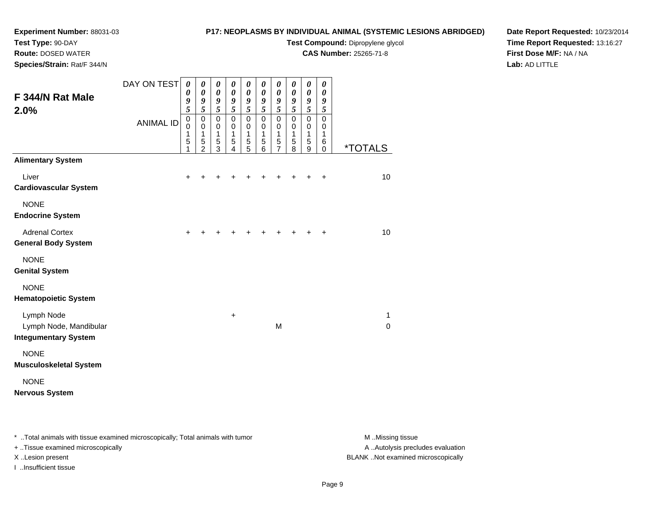# **Test Type:** 90-DAY

**Route:** DOSED WATER

**Species/Strain:** Rat/F 344/N

# **P17: NEOPLASMS BY INDIVIDUAL ANIMAL (SYSTEMIC LESIONS ABRIDGED)**

**Test Compound:** Dipropylene glycol

**CAS Number:** 25265-71-8

**Date Report Requested:** 10/23/2014**Time Report Requested:** 13:16:27**First Dose M/F:** NA / NA**Lab:** AD LITTLE

| F 344/N Rat Male<br>2.0%                                            | DAY ON TEST      | $\boldsymbol{\theta}$<br>$\boldsymbol{\theta}$<br>9<br>$\overline{5}$ | $\boldsymbol{\theta}$<br>$\boldsymbol{\theta}$<br>9<br>5 | 0<br>$\boldsymbol{\theta}$<br>9<br>$\overline{5}$ | 0<br>$\boldsymbol{\theta}$<br>9<br>5 | 0<br>$\boldsymbol{\theta}$<br>9<br>$\overline{5}$ | 0<br>$\boldsymbol{\theta}$<br>9<br>$\overline{5}$ | 0<br>0<br>9<br>5                             | 0<br>$\boldsymbol{\theta}$<br>9<br>5                | 0<br>$\boldsymbol{\theta}$<br>9<br>$\overline{\mathbf{5}}$ | 0<br>0<br>9<br>5                |                       |
|---------------------------------------------------------------------|------------------|-----------------------------------------------------------------------|----------------------------------------------------------|---------------------------------------------------|--------------------------------------|---------------------------------------------------|---------------------------------------------------|----------------------------------------------|-----------------------------------------------------|------------------------------------------------------------|---------------------------------|-----------------------|
|                                                                     | <b>ANIMAL ID</b> | $\mathbf 0$<br>$\mathbf 0$<br>1<br>5<br>1                             | $\pmb{0}$<br>0<br>1<br>5<br>$\overline{2}$               | $\mathbf 0$<br>$\pmb{0}$<br>1<br>$\frac{5}{3}$    | $\Omega$<br>0<br>1<br>5<br>4         | $\mathbf 0$<br>0<br>1<br>$\frac{5}{5}$            | $\mathbf 0$<br>$\mathbf 0$<br>1<br>5<br>6         | $\mathbf 0$<br>0<br>1<br>5<br>$\overline{7}$ | $\mathbf 0$<br>0<br>$\mathbf{1}$<br>$\sqrt{5}$<br>8 | $\mathbf 0$<br>$\pmb{0}$<br>1<br>5<br>9                    | $\mathbf 0$<br>0<br>1<br>6<br>0 | <i><b>*TOTALS</b></i> |
| <b>Alimentary System</b>                                            |                  |                                                                       |                                                          |                                                   |                                      |                                                   |                                                   |                                              |                                                     |                                                            |                                 |                       |
| Liver<br><b>Cardiovascular System</b>                               |                  | +                                                                     |                                                          |                                                   |                                      |                                                   |                                                   |                                              |                                                     |                                                            | +                               | 10                    |
| <b>NONE</b><br><b>Endocrine System</b>                              |                  |                                                                       |                                                          |                                                   |                                      |                                                   |                                                   |                                              |                                                     |                                                            |                                 |                       |
| <b>Adrenal Cortex</b><br><b>General Body System</b>                 |                  | +                                                                     |                                                          |                                                   |                                      |                                                   |                                                   |                                              |                                                     |                                                            | $\ddot{}$                       | 10                    |
| <b>NONE</b><br><b>Genital System</b>                                |                  |                                                                       |                                                          |                                                   |                                      |                                                   |                                                   |                                              |                                                     |                                                            |                                 |                       |
| <b>NONE</b><br><b>Hematopoietic System</b>                          |                  |                                                                       |                                                          |                                                   |                                      |                                                   |                                                   |                                              |                                                     |                                                            |                                 |                       |
| Lymph Node<br>Lymph Node, Mandibular<br><b>Integumentary System</b> |                  |                                                                       |                                                          |                                                   | +                                    |                                                   |                                                   | M                                            |                                                     |                                                            |                                 | 1<br>$\Omega$         |
| <b>NONE</b><br><b>Musculoskeletal System</b>                        |                  |                                                                       |                                                          |                                                   |                                      |                                                   |                                                   |                                              |                                                     |                                                            |                                 |                       |
| <b>NONE</b><br><b>Nervous System</b>                                |                  |                                                                       |                                                          |                                                   |                                      |                                                   |                                                   |                                              |                                                     |                                                            |                                 |                       |

\* ..Total animals with tissue examined microscopically; Total animals with tumor **M** . Missing tissue M ..Missing tissue

+ ..Tissue examined microscopically

I ..Insufficient tissue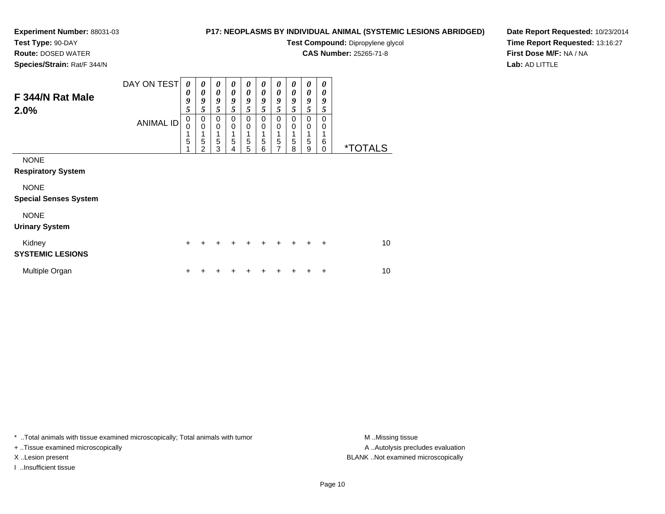### **P17: NEOPLASMS BY INDIVIDUAL ANIMAL (SYSTEMIC LESIONS ABRIDGED)**

**Test Compound:** Dipropylene glycol

**CAS Number:** 25265-71-8

**Date Report Requested:** 10/23/2014**Time Report Requested:** 13:16:27**First Dose M/F:** NA / NA**Lab:** AD LITTLE

| <b>Route:</b> DOSED WATER   |  |
|-----------------------------|--|
| Species/Strain: Rat/F 344/N |  |

| F 344/N Rat Male<br>2.0%                    | DAY ON TEST      | 0<br>0<br>9<br>5                     | 0<br>0<br>9<br>5                | $\boldsymbol{\theta}$<br>0<br>9<br>5 | 0<br>0<br>9<br>5                         | 0<br>0<br>9<br>5                | 0<br>0<br>9<br>5        | 0<br>0<br>9<br>5                             | 0<br>0<br>9<br>5        | 0<br>0<br>9<br>5                | 0<br>0<br>9<br>5               |                       |
|---------------------------------------------|------------------|--------------------------------------|---------------------------------|--------------------------------------|------------------------------------------|---------------------------------|-------------------------|----------------------------------------------|-------------------------|---------------------------------|--------------------------------|-----------------------|
|                                             | <b>ANIMAL ID</b> | $\mathbf 0$<br>$\mathbf 0$<br>1<br>5 | 0<br>$\mathbf 0$<br>1<br>5<br>2 | $\pmb{0}$<br>$\,0\,$<br>1<br>5<br>3  | $\mathbf 0$<br>0<br>1<br>$\sqrt{5}$<br>4 | $\mathbf 0$<br>0<br>1<br>5<br>5 | $\Omega$<br>0<br>5<br>6 | $\mathbf 0$<br>0<br>1<br>5<br>$\overline{ }$ | $\Omega$<br>0<br>5<br>8 | 0<br>0<br>1<br>$\mathbf 5$<br>9 | $\Omega$<br>0<br>6<br>$\Omega$ | <i><b>*TOTALS</b></i> |
| <b>NONE</b><br><b>Respiratory System</b>    |                  |                                      |                                 |                                      |                                          |                                 |                         |                                              |                         |                                 |                                |                       |
| <b>NONE</b><br><b>Special Senses System</b> |                  |                                      |                                 |                                      |                                          |                                 |                         |                                              |                         |                                 |                                |                       |
| <b>NONE</b><br><b>Urinary System</b>        |                  |                                      |                                 |                                      |                                          |                                 |                         |                                              |                         |                                 |                                |                       |
| Kidney<br><b>SYSTEMIC LESIONS</b>           |                  | $\ddot{}$                            |                                 |                                      |                                          |                                 |                         |                                              |                         |                                 | $\ddot{}$                      | 10                    |
| Multiple Organ                              |                  | +                                    |                                 |                                      |                                          |                                 |                         |                                              |                         |                                 | +                              | 10                    |

\* ..Total animals with tissue examined microscopically; Total animals with tumor **M** . Missing tissue M ..Missing tissue

+ ..Tissue examined microscopically

I ..Insufficient tissue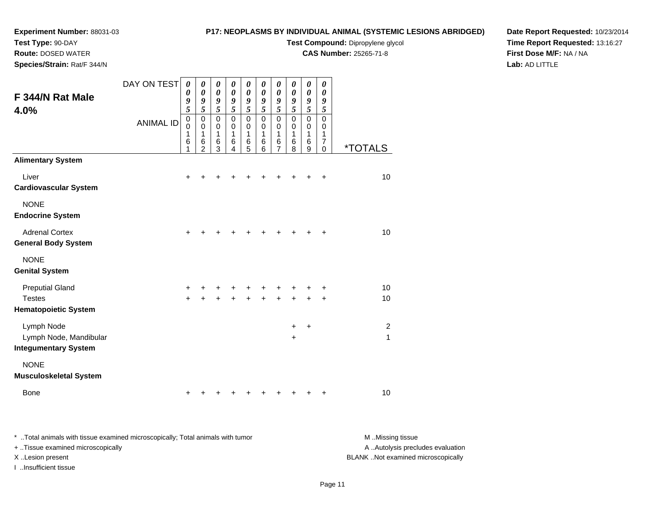# **Test Type:** 90-DAY

**Route:** DOSED WATER

**Species/Strain:** Rat/F 344/N

# **P17: NEOPLASMS BY INDIVIDUAL ANIMAL (SYSTEMIC LESIONS ABRIDGED)**

**Test Compound:** Dipropylene glycol

**CAS Number:** 25265-71-8

**Date Report Requested:** 10/23/2014 **Time Report Requested:** 13:16:27**First Dose M/F:** NA / NA**Lab:** AD LITTLE

| F 344/N Rat Male<br>4.0%                            | DAY ON TEST      | $\boldsymbol{\theta}$<br>$\boldsymbol{\theta}$<br>9<br>5<br>$\mathbf 0$ | 0<br>$\boldsymbol{\theta}$<br>9<br>5<br>$\mathbf 0$ | 0<br>$\pmb{\theta}$<br>9<br>5<br>$\mathbf 0$ | 0<br>$\boldsymbol{\theta}$<br>9<br>5<br>$\mathbf 0$ | $\pmb{\theta}$<br>$\boldsymbol{\theta}$<br>9<br>5<br>$\pmb{0}$ | 0<br>$\boldsymbol{\theta}$<br>9<br>5<br>$\mathbf 0$ | $\pmb{\theta}$<br>$\boldsymbol{\theta}$<br>9<br>5<br>0 | 0<br>$\boldsymbol{\theta}$<br>9<br>5<br>$\mathbf 0$ | $\boldsymbol{\theta}$<br>$\boldsymbol{\theta}$<br>9<br>5<br>$\mathbf 0$ | 0<br>$\pmb{\theta}$<br>9<br>5<br>0 |                       |
|-----------------------------------------------------|------------------|-------------------------------------------------------------------------|-----------------------------------------------------|----------------------------------------------|-----------------------------------------------------|----------------------------------------------------------------|-----------------------------------------------------|--------------------------------------------------------|-----------------------------------------------------|-------------------------------------------------------------------------|------------------------------------|-----------------------|
|                                                     | <b>ANIMAL ID</b> | 0<br>1<br>6<br>1                                                        | 0<br>1<br>6<br>$\overline{2}$                       | $\mathbf 0$<br>1<br>$\,6$<br>3               | $\mathbf 0$<br>1<br>6<br>4                          | 0<br>1<br>6<br>$\overline{5}$                                  | 0<br>1<br>6<br>6                                    | $\mathbf 0$<br>1<br>6<br>$\overline{7}$                | $\mathbf 0$<br>1<br>6<br>8                          | $\mathbf 0$<br>1<br>$\,6$<br>9                                          | 0<br>1<br>$\overline{7}$<br>0      | <i><b>*TOTALS</b></i> |
| <b>Alimentary System</b>                            |                  |                                                                         |                                                     |                                              |                                                     |                                                                |                                                     |                                                        |                                                     |                                                                         |                                    |                       |
| Liver<br><b>Cardiovascular System</b>               |                  | $\ddot{}$                                                               |                                                     |                                              |                                                     |                                                                |                                                     | +                                                      |                                                     | +                                                                       | +                                  | 10                    |
| <b>NONE</b><br><b>Endocrine System</b>              |                  |                                                                         |                                                     |                                              |                                                     |                                                                |                                                     |                                                        |                                                     |                                                                         |                                    |                       |
| <b>Adrenal Cortex</b><br><b>General Body System</b> |                  | $\ddot{}$                                                               |                                                     |                                              |                                                     |                                                                |                                                     | +                                                      | ÷                                                   | +                                                                       | $\ddot{}$                          | 10                    |
| <b>NONE</b><br><b>Genital System</b>                |                  |                                                                         |                                                     |                                              |                                                     |                                                                |                                                     |                                                        |                                                     |                                                                         |                                    |                       |
| <b>Preputial Gland</b>                              |                  | +                                                                       |                                                     |                                              |                                                     |                                                                |                                                     |                                                        |                                                     |                                                                         | +                                  | 10                    |
| <b>Testes</b><br><b>Hematopoietic System</b>        |                  | $+$                                                                     |                                                     |                                              |                                                     |                                                                |                                                     | $\ddot{}$                                              | $\ddot{}$                                           | $\ddot{}$                                                               | $\ddot{}$                          | 10                    |
| Lymph Node<br>Lymph Node, Mandibular                |                  |                                                                         |                                                     |                                              |                                                     |                                                                |                                                     |                                                        | $\ddot{}$<br>$\ddot{}$                              | $\ddot{}$                                                               |                                    | $\overline{2}$<br>1   |
| <b>Integumentary System</b>                         |                  |                                                                         |                                                     |                                              |                                                     |                                                                |                                                     |                                                        |                                                     |                                                                         |                                    |                       |
| <b>NONE</b><br><b>Musculoskeletal System</b>        |                  |                                                                         |                                                     |                                              |                                                     |                                                                |                                                     |                                                        |                                                     |                                                                         |                                    |                       |
| Bone                                                |                  | +                                                                       |                                                     |                                              |                                                     |                                                                |                                                     | +                                                      | +                                                   | +                                                                       | +                                  | 10                    |

| * Total animals with tissue examined microscopically; Total animals with tumor | M Missing tissue                   |
|--------------------------------------------------------------------------------|------------------------------------|
| + Tissue examined microscopically                                              | A Autolysis precludes evaluation   |
| X Lesion present                                                               | BLANK Not examined microscopically |
| …Insufficient tissue                                                           |                                    |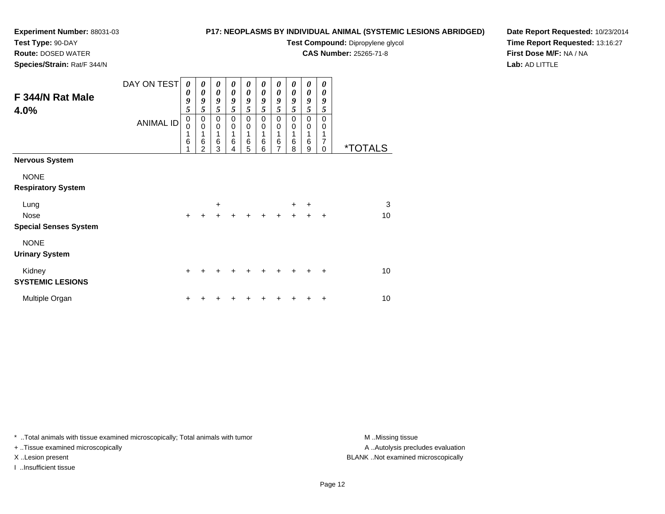**Route:** DOSED WATER**Species/Strain:** Rat/F 344/N

## **P17: NEOPLASMS BY INDIVIDUAL ANIMAL (SYSTEMIC LESIONS ABRIDGED)**

**Test Compound:** Dipropylene glycol

**CAS Number:** 25265-71-8

**Date Report Requested:** 10/23/2014**Time Report Requested:** 13:16:27**First Dose M/F:** NA / NA**Lab:** AD LITTLE

| F 344/N Rat Male<br>4.0%                                             | DAY ON TEST<br><b>ANIMAL ID</b> | 0<br>0<br>9<br>5<br>$\mathbf 0$<br>0<br>1<br>6 | 0<br>$\boldsymbol{\theta}$<br>9<br>5<br>0<br>$\mathbf 0$<br>6<br>$\mathfrak{p}$ | 0<br>$\boldsymbol{\theta}$<br>9<br>5<br>0<br>$\mathbf 0$<br>1<br>$\,6$<br>3 | 0<br>$\boldsymbol{\theta}$<br>9<br>5<br>0<br>$\mathbf 0$<br>1<br>$\,6$<br>4 | 0<br>$\boldsymbol{\theta}$<br>9<br>5<br>0<br>$\mathbf 0$<br>1<br>$\,6$<br>5 | 0<br>$\boldsymbol{\theta}$<br>9<br>5<br>0<br>$\mathbf 0$<br>1<br>$6\phantom{1}6$<br>6 | 0<br>$\boldsymbol{\theta}$<br>9<br>5<br>$\mathbf 0$<br>$\mathbf 0$<br>1<br>$\,6$<br>$\overline{7}$ | 0<br>$\boldsymbol{\theta}$<br>9<br>5<br>0<br>$\mathbf 0$<br>$6\phantom{1}6$<br>8 | $\boldsymbol{\theta}$<br>$\boldsymbol{\theta}$<br>9<br>5<br>$\mathbf 0$<br>$\mathbf 0$<br>1<br>$\,6$<br>9 | 0<br>0<br>9<br>5<br>$\Omega$<br>0<br>1<br>7<br>$\mathbf 0$ | <i><b>*TOTALS</b></i> |
|----------------------------------------------------------------------|---------------------------------|------------------------------------------------|---------------------------------------------------------------------------------|-----------------------------------------------------------------------------|-----------------------------------------------------------------------------|-----------------------------------------------------------------------------|---------------------------------------------------------------------------------------|----------------------------------------------------------------------------------------------------|----------------------------------------------------------------------------------|-----------------------------------------------------------------------------------------------------------|------------------------------------------------------------|-----------------------|
| Nervous System                                                       |                                 |                                                |                                                                                 |                                                                             |                                                                             |                                                                             |                                                                                       |                                                                                                    |                                                                                  |                                                                                                           |                                                            |                       |
| <b>NONE</b><br><b>Respiratory System</b>                             |                                 |                                                |                                                                                 |                                                                             |                                                                             |                                                                             |                                                                                       |                                                                                                    |                                                                                  |                                                                                                           |                                                            |                       |
| Lung<br>Nose                                                         |                                 | $\ddot{}$                                      |                                                                                 | $\ddot{}$                                                                   |                                                                             |                                                                             | ÷                                                                                     | $\ddot{}$                                                                                          | $\ddot{}$<br>$\ddot{}$                                                           | $\ddot{}$<br>$\ddot{}$                                                                                    | $\ddot{}$                                                  | $\sqrt{3}$<br>10      |
| <b>Special Senses System</b><br><b>NONE</b><br><b>Urinary System</b> |                                 |                                                |                                                                                 |                                                                             |                                                                             |                                                                             |                                                                                       |                                                                                                    |                                                                                  |                                                                                                           |                                                            |                       |
| Kidney<br><b>SYSTEMIC LESIONS</b>                                    |                                 | $+$                                            |                                                                                 |                                                                             |                                                                             |                                                                             |                                                                                       |                                                                                                    |                                                                                  | +                                                                                                         | ٠                                                          | 10                    |
| Multiple Organ                                                       |                                 | +                                              |                                                                                 |                                                                             |                                                                             |                                                                             |                                                                                       |                                                                                                    |                                                                                  |                                                                                                           | ٠                                                          | 10                    |

\* ..Total animals with tissue examined microscopically; Total animals with tumor **M** . Missing tissue M ..Missing tissue

+ ..Tissue examined microscopically

I ..Insufficient tissue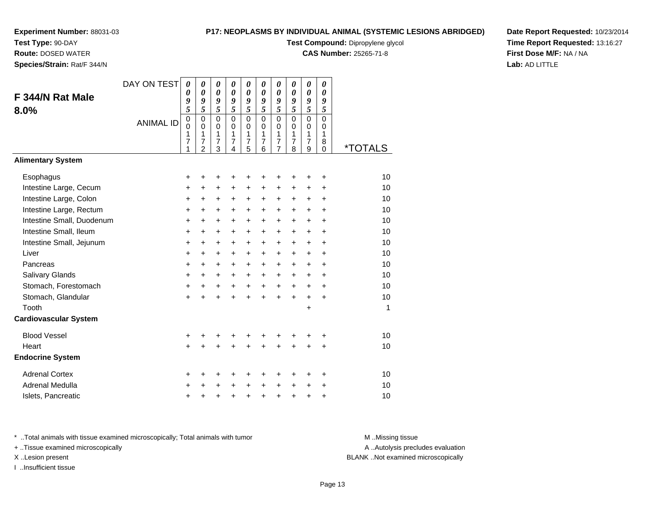**Test Type:** 90-DAY

**Route:** DOSED WATER

**Species/Strain:** Rat/F 344/N

## **P17: NEOPLASMS BY INDIVIDUAL ANIMAL (SYSTEMIC LESIONS ABRIDGED)**

**Test Compound:** Dipropylene glycol

**CAS Number:** 25265-71-8

**Date Report Requested:** 10/23/2014**Time Report Requested:** 13:16:27**First Dose M/F:** NA / NA**Lab:** AD LITTLE

|                              | DAY ON TEST      | 0           | 0                     | $\boldsymbol{\theta}$ | $\boldsymbol{\theta}$ | 0                     | 0                              | 0                     | 0                              | 0              | 0                     |         |
|------------------------------|------------------|-------------|-----------------------|-----------------------|-----------------------|-----------------------|--------------------------------|-----------------------|--------------------------------|----------------|-----------------------|---------|
| F 344/N Rat Male             |                  | 0           | $\boldsymbol{\theta}$ | $\boldsymbol{\theta}$ | $\boldsymbol{\theta}$ | $\boldsymbol{\theta}$ | $\boldsymbol{\theta}$          | $\boldsymbol{\theta}$ | $\boldsymbol{\theta}$          | $\pmb{\theta}$ | $\boldsymbol{\theta}$ |         |
| 8.0%                         |                  | 9<br>5      | 9<br>5                | 9<br>5                | 9<br>5                | 9<br>5                | 9<br>5                         | 9<br>5                | 9<br>5                         | 9<br>5         | 9<br>5                |         |
|                              |                  | $\mathbf 0$ | $\mathbf 0$           | $\mathbf 0$           | $\Omega$              | $\mathbf 0$           | $\Omega$                       | $\mathbf 0$           | $\mathbf 0$                    | $\mathbf 0$    | $\mathbf 0$           |         |
|                              | <b>ANIMAL ID</b> | 0           | $\mathbf 0$           | 0                     | $\mathbf 0$           | 0                     | $\Omega$                       | 0                     | 0                              | 0              | 0                     |         |
|                              |                  | 1<br>7      | 1<br>7                | 1<br>$\overline{7}$   | 1<br>$\overline{7}$   | 1<br>$\overline{7}$   | $\mathbf{1}$<br>$\overline{7}$ | 1<br>$\overline{7}$   | $\mathbf{1}$<br>$\overline{7}$ | 1<br>7         | 1<br>8                |         |
|                              |                  | 1           | $\overline{2}$        | 3                     | $\overline{4}$        | 5                     | 6                              | $\overline{7}$        | 8                              | 9              | 0                     | *TOTALS |
| <b>Alimentary System</b>     |                  |             |                       |                       |                       |                       |                                |                       |                                |                |                       |         |
| Esophagus                    |                  | +           | +                     | +                     |                       | +                     | +                              | +                     |                                | +              | +                     | 10      |
| Intestine Large, Cecum       |                  | +           | $\ddot{}$             | $\ddot{}$             | $\ddot{}$             | $\ddot{}$             | +                              | +                     | +                              | +              | +                     | 10      |
| Intestine Large, Colon       |                  | +           | $\ddot{}$             | $\ddot{}$             | $\ddot{}$             | $\ddot{}$             | $\ddot{}$                      | $\ddot{}$             | $\ddot{}$                      | $\ddot{}$      | $\ddot{}$             | 10      |
| Intestine Large, Rectum      |                  | $\ddot{}$   | $\ddot{}$             | $\ddot{}$             | $\ddot{}$             | +                     | $\ddot{}$                      | $\ddot{}$             | $\ddot{}$                      | $\ddot{}$      | $\ddot{}$             | 10      |
| Intestine Small, Duodenum    |                  | $\ddot{}$   | $\ddot{}$             | $\ddot{}$             | $\ddot{}$             | $\ddot{}$             | $\ddot{}$                      | $\ddot{}$             | $\ddot{}$                      | +              | $\ddot{}$             | 10      |
| Intestine Small, Ileum       |                  | +           | $\ddot{}$             | $\ddot{}$             | $\ddot{}$             | $\ddot{}$             | +                              | $\ddot{}$             | $\ddot{}$                      | $\ddot{}$      | $\ddot{}$             | 10      |
| Intestine Small, Jejunum     |                  | +           | $\ddot{}$             | $\ddot{}$             | $\ddot{}$             | $\ddot{}$             | $\ddot{}$                      | $\ddot{}$             | $\ddot{}$                      | $\ddot{}$      | $\ddot{}$             | 10      |
| Liver                        |                  | $\ddot{}$   | $\ddot{}$             | $\ddot{}$             | $\ddot{}$             | $\ddot{}$             | $\ddot{}$                      | $\ddot{}$             | $\ddot{}$                      | $+$            | $\ddot{}$             | 10      |
| Pancreas                     |                  | $\ddot{}$   | $\ddot{}$             | $\ddot{}$             | $\ddot{}$             | +                     | +                              | $\ddot{}$             | +                              | +              | $\ddot{}$             | 10      |
| Salivary Glands              |                  | +           | +                     | $\ddot{}$             | $\ddot{}$             | $\ddot{}$             | +                              | $\ddot{}$             | $\ddot{}$                      | $\ddot{}$      | $\ddot{}$             | 10      |
| Stomach, Forestomach         |                  | +           | +                     | $\ddot{}$             | $\ddot{}$             | $\ddot{}$             | $\ddot{}$                      | $\ddot{}$             | $+$                            | $+$            | $\ddot{}$             | 10      |
| Stomach, Glandular           |                  | $\ddot{}$   |                       | $\ddot{}$             |                       | $\ddot{}$             | $\ddot{}$                      | $\ddot{}$             | $\ddot{}$                      | $\ddot{}$      | $\ddot{}$             | 10      |
| Tooth                        |                  |             |                       |                       |                       |                       |                                |                       |                                | +              |                       | 1       |
| <b>Cardiovascular System</b> |                  |             |                       |                       |                       |                       |                                |                       |                                |                |                       |         |
| <b>Blood Vessel</b>          |                  | +           |                       |                       |                       |                       |                                | +                     |                                |                | +                     | 10      |
| Heart                        |                  | $\ddot{}$   |                       | +                     |                       | $\ddot{}$             | Ŧ.                             | $\ddot{}$             | $\ddot{}$                      | $\ddot{}$      | $\ddot{}$             | 10      |
| <b>Endocrine System</b>      |                  |             |                       |                       |                       |                       |                                |                       |                                |                |                       |         |
| <b>Adrenal Cortex</b>        |                  | +           | +                     | +                     | +                     | +                     | +                              | +                     | +                              | ٠              | +                     | 10      |
| Adrenal Medulla              |                  | +           | +                     | +                     | $\ddot{}$             | +                     | $\ddot{}$                      | +                     | $\ddot{}$                      | $\div$         | +                     | 10      |
| Islets, Pancreatic           |                  | +           | +                     | +                     | $\ddot{}$             | $\ddot{}$             | $\ddot{}$                      | $\ddot{}$             | $\ddot{}$                      | +              | +                     | 10      |

\* ..Total animals with tissue examined microscopically; Total animals with tumor **M** . Missing tissue M ..Missing tissue

+ ..Tissue examined microscopically

I ..Insufficient tissue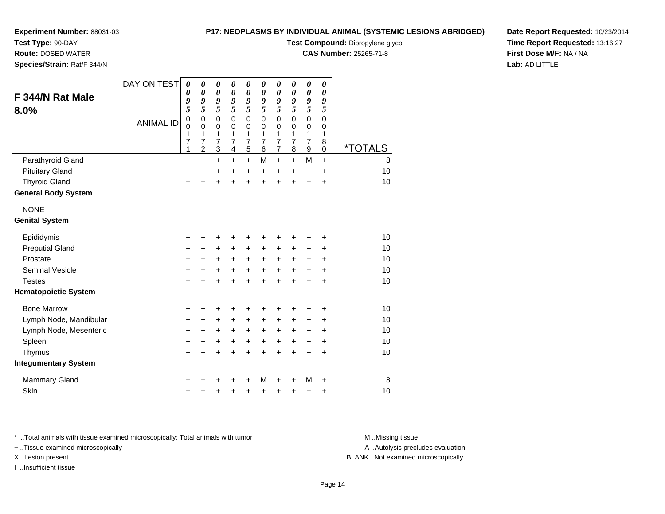**Test Type:** 90-DAY

**Route:** DOSED WATER

**Species/Strain:** Rat/F 344/N

## **P17: NEOPLASMS BY INDIVIDUAL ANIMAL (SYSTEMIC LESIONS ABRIDGED)**

**Test Compound:** Dipropylene glycol

**CAS Number:** 25265-71-8

**Date Report Requested:** 10/23/2014**Time Report Requested:** 13:16:27**First Dose M/F:** NA / NA**Lab:** AD LITTLE

|                             | DAY ON TEST      | 0<br>0    | 0<br>$\boldsymbol{\theta}$ | 0<br>$\boldsymbol{\theta}$ | 0<br>$\boldsymbol{\theta}$ | 0<br>$\boldsymbol{\theta}$ | 0<br>$\boldsymbol{\theta}$ | 0<br>$\boldsymbol{\theta}$ | 0<br>0              | $\pmb{\theta}$<br>0 | 0<br>0           |                       |
|-----------------------------|------------------|-----------|----------------------------|----------------------------|----------------------------|----------------------------|----------------------------|----------------------------|---------------------|---------------------|------------------|-----------------------|
| F 344/N Rat Male            |                  | 9         | 9                          | 9                          | 9                          | 9                          | 9                          | 9                          | 9                   | 9                   | 9                |                       |
| 8.0%                        |                  | 5<br>0    | 5<br>0                     | 5<br>$\mathbf 0$           | 5<br>$\mathbf{0}$          | 5<br>$\mathbf 0$           | 5<br>$\mathbf{0}$          | 5<br>$\overline{0}$        | 5<br>$\mathbf{0}$   | 5<br>$\mathbf 0$    | 5<br>$\mathbf 0$ |                       |
|                             | <b>ANIMAL ID</b> | 0         | 0                          | $\mathbf 0$                | 0                          | 0                          | $\mathbf 0$                | $\mathbf 0$                | $\mathbf 0$         | $\pmb{0}$           | 0                |                       |
|                             |                  | 1<br>7    | 1<br>7                     | 1<br>$\overline{7}$        | 1<br>$\overline{7}$        | 1<br>$\overline{7}$        | 1<br>$\overline{7}$        | 1<br>$\overline{7}$        | 1<br>$\overline{7}$ | 1<br>$\overline{7}$ | 1<br>8           |                       |
|                             |                  | 1         | $\overline{2}$             | 3                          | 4                          | 5                          | 6                          | $\overline{7}$             | 8                   | $\boldsymbol{9}$    | 0                | <i><b>*TOTALS</b></i> |
| Parathyroid Gland           |                  | +         | $\ddot{}$                  | $\ddot{}$                  | $\ddot{}$                  | $\ddot{}$                  | M                          | $\ddot{}$                  | +                   | M                   | $\ddot{}$        | 8                     |
| <b>Pituitary Gland</b>      |                  | +         | $\ddot{}$                  | +                          | +                          | +                          | $\ddot{}$                  | +                          | $\pm$               | $\ddot{}$           | $\ddot{}$        | 10                    |
| <b>Thyroid Gland</b>        |                  | $\pm$     | $\ddot{}$                  | $\ddot{}$                  | $\ddot{}$                  | $\ddot{}$                  | $\ddot{}$                  | $\ddot{}$                  | $\ddot{}$           | $\ddot{}$           | +                | 10                    |
| <b>General Body System</b>  |                  |           |                            |                            |                            |                            |                            |                            |                     |                     |                  |                       |
| <b>NONE</b>                 |                  |           |                            |                            |                            |                            |                            |                            |                     |                     |                  |                       |
| <b>Genital System</b>       |                  |           |                            |                            |                            |                            |                            |                            |                     |                     |                  |                       |
| Epididymis                  |                  | +         | +                          | +                          | +                          | +                          | +                          | +                          | +                   | +                   | +                | 10                    |
| <b>Preputial Gland</b>      |                  | $\ddot{}$ | $\ddot{}$                  | +                          | +                          | +                          | +                          | +                          | +                   | +                   | +                | 10                    |
| Prostate                    |                  | +         | $\ddot{}$                  | $\ddot{}$                  | $\ddot{}$                  | $\ddot{}$                  | $\ddot{}$                  | $\ddot{}$                  | $\ddot{}$           | +                   | +                | 10                    |
| <b>Seminal Vesicle</b>      |                  | +         | +                          | $\ddot{}$                  | $\ddot{}$                  | $\ddot{}$                  | $\ddot{}$                  | $\ddot{}$                  | $\ddot{}$           | +                   | $\ddot{}$        | 10                    |
| <b>Testes</b>               |                  | $\ddot{}$ | $\ddot{}$                  | $\ddot{}$                  | $\ddot{}$                  | $\ddot{}$                  | $\ddot{}$                  | $\ddot{}$                  | ÷                   | $\ddot{}$           | $\ddot{}$        | 10                    |
| <b>Hematopoietic System</b> |                  |           |                            |                            |                            |                            |                            |                            |                     |                     |                  |                       |
| <b>Bone Marrow</b>          |                  | +         | +                          | +                          | +                          | +                          |                            | +                          |                     | +                   | +                | 10                    |
| Lymph Node, Mandibular      |                  | +         | +                          | +                          | +                          | +                          | +                          | +                          | +                   | +                   | +                | 10                    |
| Lymph Node, Mesenteric      |                  | +         | +                          | +                          | +                          | $\ddot{}$                  | +                          | $\ddot{}$                  | +                   | +                   | +                | 10                    |
| Spleen                      |                  | $\ddot{}$ | +                          | +                          | +                          | $\ddot{}$                  | $\ddot{}$                  | $\ddot{}$                  | +                   | $\ddot{}$           | $\ddot{}$        | 10                    |
| Thymus                      |                  | $\ddot{}$ | +                          | +                          | +                          | +                          | +                          | $\ddot{}$                  | $\ddot{}$           | $\ddot{}$           | $\ddot{}$        | 10                    |
| <b>Integumentary System</b> |                  |           |                            |                            |                            |                            |                            |                            |                     |                     |                  |                       |
| <b>Mammary Gland</b>        |                  | +         |                            | +                          |                            | ٠                          | м                          | +                          | +                   | M                   | +                | 8                     |
| Skin                        |                  | +         | +                          | +                          | +                          | +                          | +                          | +                          | +                   | +                   | +                | 10                    |

\* ..Total animals with tissue examined microscopically; Total animals with tumor **M** . Missing tissue M ..Missing tissue

+ ..Tissue examined microscopically

I ..Insufficient tissue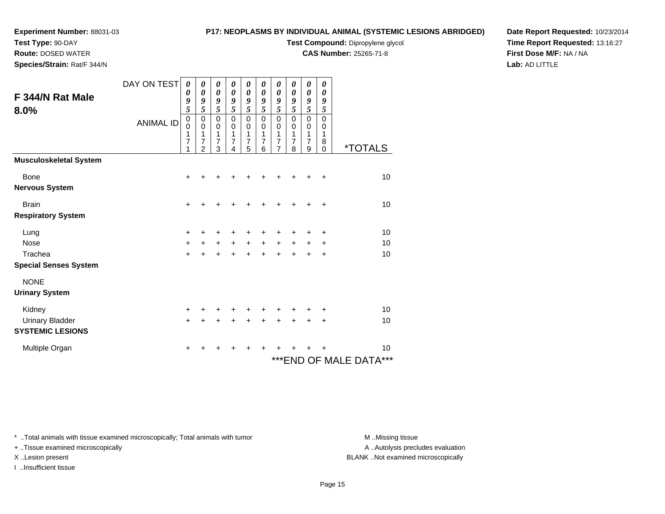# **Test Type:** 90-DAY

**Route:** DOSED WATER

**Species/Strain:** Rat/F 344/N

# **P17: NEOPLASMS BY INDIVIDUAL ANIMAL (SYSTEMIC LESIONS ABRIDGED)**

**Test Compound:** Dipropylene glycol

**CAS Number:** 25265-71-8

**Date Report Requested:** 10/23/2014**Time Report Requested:** 13:16:27**First Dose M/F:** NA / NA**Lab:** AD LITTLE

|                               | DAY ON TEST      | $\boldsymbol{\theta}$ | 0                | 0                          | 0                          | 0                | 0         | 0         | 0                          | 0                          | 0           |                              |
|-------------------------------|------------------|-----------------------|------------------|----------------------------|----------------------------|------------------|-----------|-----------|----------------------------|----------------------------|-------------|------------------------------|
| F 344/N Rat Male              |                  | 0<br>9                | 0<br>9           | $\boldsymbol{\theta}$<br>9 | $\boldsymbol{\theta}$<br>9 | 0<br>9           | 0<br>9    | 0<br>9    | $\boldsymbol{\theta}$<br>9 | $\boldsymbol{\theta}$<br>9 | 0<br>9      |                              |
| 8.0%                          |                  | 5                     | 5                | 5                          | 5                          | 5                | 5         | 5         | 5                          | 5                          | 5           |                              |
|                               | <b>ANIMAL ID</b> | $\mathbf 0$           | $\mathbf 0$      | $\mathbf 0$                | $\mathbf 0$                | $\mathsf 0$      | 0         | 0         | $\mathbf 0$                | $\mathbf 0$                | $\mathbf 0$ |                              |
|                               |                  | $\mathbf 0$<br>1      | $\mathbf 0$<br>1 | $\mathbf 0$<br>1           | $\mathbf 0$<br>1           | $\mathbf 0$<br>1 | 0<br>1    | 0<br>1    | $\pmb{0}$<br>1             | $\pmb{0}$<br>$\mathbf{1}$  | 0<br>1      |                              |
|                               |                  | 7                     | 7                | 7                          | 7                          | 7                | 7         | 7         | 7                          | $\overline{7}$             | 8           |                              |
|                               |                  | 1                     | $\mathfrak{p}$   | 3                          | 4                          | 5                | 6         | 7         | 8                          | 9                          | 0           | <i><b>*TOTALS</b></i>        |
| <b>Musculoskeletal System</b> |                  |                       |                  |                            |                            |                  |           |           |                            |                            |             |                              |
| Bone                          |                  | +                     |                  |                            |                            |                  |           |           |                            |                            | ÷           | 10                           |
| <b>Nervous System</b>         |                  |                       |                  |                            |                            |                  |           |           |                            |                            |             |                              |
| <b>Brain</b>                  |                  | $\ddot{}$             |                  |                            |                            |                  |           |           |                            |                            | $\ddot{}$   | 10                           |
| <b>Respiratory System</b>     |                  |                       |                  |                            |                            |                  |           |           |                            |                            |             |                              |
| Lung                          |                  | ÷                     |                  | +                          |                            |                  |           |           |                            |                            | ٠           | 10                           |
| <b>Nose</b>                   |                  | $+$                   | $\ddot{}$        | $\ddot{}$                  | $\ddot{}$                  | $+$              | $+$       | $\ddot{}$ | $+$                        | $+$                        | $\ddot{}$   | 10                           |
| Trachea                       |                  | $+$                   | $\ddot{}$        | $\ddot{}$                  | $\ddot{}$                  | $+$              | $\ddot{}$ | $\ddot{}$ | $\ddot{}$                  | $+$                        | $\ddot{}$   | 10                           |
| <b>Special Senses System</b>  |                  |                       |                  |                            |                            |                  |           |           |                            |                            |             |                              |
| <b>NONE</b>                   |                  |                       |                  |                            |                            |                  |           |           |                            |                            |             |                              |
| <b>Urinary System</b>         |                  |                       |                  |                            |                            |                  |           |           |                            |                            |             |                              |
| Kidney                        |                  | $\ddot{}$             |                  | +                          |                            | +                |           |           |                            |                            | +           | 10                           |
| <b>Urinary Bladder</b>        |                  | $\ddot{}$             | +                | +                          | +                          | +                | +         | +         |                            |                            | +           | 10                           |
| <b>SYSTEMIC LESIONS</b>       |                  |                       |                  |                            |                            |                  |           |           |                            |                            |             |                              |
| Multiple Organ                |                  | ÷                     | ┿                | ٠                          | ٠                          | +                | +         | +         |                            |                            |             | 10                           |
|                               |                  |                       |                  |                            |                            |                  |           |           |                            |                            |             | ***<br>*** END OF MALE DATA® |

\* ..Total animals with tissue examined microscopically; Total animals with tumor **M** . Missing tissue M ..Missing tissue

+ ..Tissue examined microscopically

I ..Insufficient tissue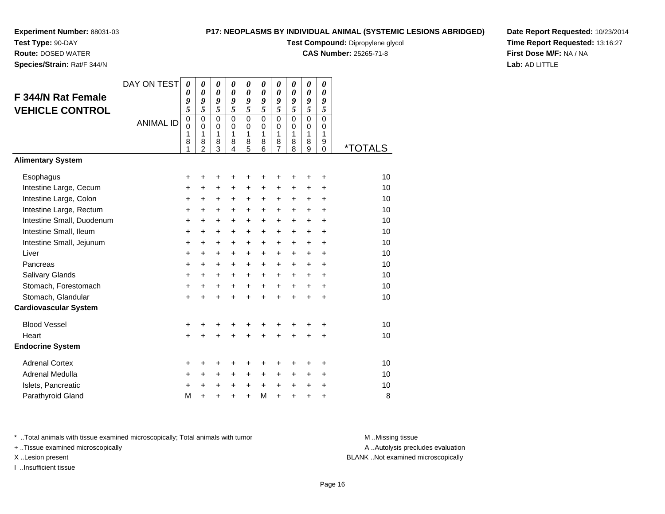### **Test Type:** 90-DAY**Route:** DOSED WATER

**Species/Strain:** Rat/F 344/N

### **P17: NEOPLASMS BY INDIVIDUAL ANIMAL (SYSTEMIC LESIONS ABRIDGED)**

**Test Compound:** Dipropylene glycol

**CAS Number:** 25265-71-8

**Date Report Requested:** 10/23/2014**Time Report Requested:** 13:16:27**First Dose M/F:** NA / NA**Lab:** AD LITTLE

| F 344/N Rat Female<br><b>VEHICLE CONTROL</b> | DAY ON TEST<br><b>ANIMAL ID</b> | 0<br>0<br>9<br>5<br>$\overline{0}$<br>0<br>1<br>8<br>1 | 0<br>$\boldsymbol{\theta}$<br>9<br>5<br>$\overline{0}$<br>$\Omega$<br>$\mathbf{1}$<br>8<br>$\overline{2}$ | $\boldsymbol{\theta}$<br>$\boldsymbol{\theta}$<br>9<br>5<br>$\mathbf 0$<br>0<br>$\mathbf{1}$<br>8<br>3 | $\boldsymbol{\theta}$<br>$\boldsymbol{\theta}$<br>9<br>5<br>$\mathbf 0$<br>$\Omega$<br>$\mathbf{1}$<br>8<br>4 | $\pmb{\theta}$<br>$\boldsymbol{\theta}$<br>9<br>5<br>$\overline{0}$<br>0<br>$\mathbf{1}$<br>8<br>5 | 0<br>$\boldsymbol{\theta}$<br>9<br>5<br>$\overline{0}$<br>0<br>$\mathbf{1}$<br>8<br>6 | 0<br>0<br>9<br>5<br>$\overline{0}$<br>0<br>1<br>8<br>$\overline{7}$ | 0<br>$\boldsymbol{\theta}$<br>9<br>5<br>$\mathbf 0$<br>$\Omega$<br>$\mathbf{1}$<br>8<br>8 | $\boldsymbol{\theta}$<br>$\boldsymbol{\theta}$<br>9<br>5<br>$\overline{0}$<br>0<br>$\mathbf{1}$<br>8<br>9 | 0<br>$\boldsymbol{\theta}$<br>9<br>5<br>$\overline{0}$<br>$\Omega$<br>$\mathbf{1}$<br>9<br>$\Omega$ | <i><b>*TOTALS</b></i> |
|----------------------------------------------|---------------------------------|--------------------------------------------------------|-----------------------------------------------------------------------------------------------------------|--------------------------------------------------------------------------------------------------------|---------------------------------------------------------------------------------------------------------------|----------------------------------------------------------------------------------------------------|---------------------------------------------------------------------------------------|---------------------------------------------------------------------|-------------------------------------------------------------------------------------------|-----------------------------------------------------------------------------------------------------------|-----------------------------------------------------------------------------------------------------|-----------------------|
| <b>Alimentary System</b>                     |                                 |                                                        |                                                                                                           |                                                                                                        |                                                                                                               |                                                                                                    |                                                                                       |                                                                     |                                                                                           |                                                                                                           |                                                                                                     |                       |
| Esophagus                                    |                                 | +                                                      | +                                                                                                         | +                                                                                                      | ٠                                                                                                             | ٠                                                                                                  | ٠                                                                                     | +                                                                   | +                                                                                         | +                                                                                                         | +                                                                                                   | 10                    |
| Intestine Large, Cecum                       |                                 | +                                                      | $\ddot{}$                                                                                                 | +                                                                                                      | $\ddot{}$                                                                                                     | $\ddot{}$                                                                                          | $\ddot{}$                                                                             | $\ddot{}$                                                           | $\ddot{}$                                                                                 | $\ddot{}$                                                                                                 | $\ddot{}$                                                                                           | 10                    |
| Intestine Large, Colon                       |                                 | +                                                      | +                                                                                                         | +                                                                                                      | $\ddot{}$                                                                                                     | $\ddot{}$                                                                                          | +                                                                                     | +                                                                   | $\ddot{}$                                                                                 | $\ddot{}$                                                                                                 | $\ddot{}$                                                                                           | 10                    |
| Intestine Large, Rectum                      |                                 | $\ddot{}$                                              | $\ddot{}$                                                                                                 | $\ddot{}$                                                                                              | $\ddot{}$                                                                                                     | $\ddot{}$                                                                                          | +                                                                                     | $\ddot{}$                                                           | $\ddot{}$                                                                                 | $+$                                                                                                       | $+$                                                                                                 | 10                    |
| Intestine Small, Duodenum                    |                                 | +                                                      | +                                                                                                         | +                                                                                                      | +                                                                                                             | +                                                                                                  | +                                                                                     | +                                                                   | +                                                                                         | +                                                                                                         | $\ddot{}$                                                                                           | 10                    |
| Intestine Small, Ileum                       |                                 | $\ddot{}$                                              | $\ddot{}$                                                                                                 | $\ddot{}$                                                                                              | $\ddot{}$                                                                                                     | $\ddot{}$                                                                                          | $\ddot{}$                                                                             | $\ddot{}$                                                           | $\ddot{}$                                                                                 | $\ddot{}$                                                                                                 | $+$                                                                                                 | 10                    |
| Intestine Small, Jejunum                     |                                 | $\ddot{}$                                              | $\ddot{}$                                                                                                 | $\ddot{}$                                                                                              | $\ddot{}$                                                                                                     | $\ddot{}$                                                                                          | $\ddot{}$                                                                             | $\ddot{}$                                                           | $\ddot{}$                                                                                 | $\ddot{}$                                                                                                 | $\ddot{}$                                                                                           | 10                    |
| Liver                                        |                                 | $\ddot{}$                                              | $\ddot{}$                                                                                                 | $\ddot{}$                                                                                              | $\ddot{}$                                                                                                     | $\ddot{}$                                                                                          | $\ddot{}$                                                                             | $\ddot{}$                                                           | $\ddot{}$                                                                                 | $\ddot{}$                                                                                                 | $+$                                                                                                 | 10                    |
| Pancreas                                     |                                 | $\ddot{}$                                              | $\ddot{}$                                                                                                 | $\ddot{}$                                                                                              | $\ddot{}$                                                                                                     | $\ddot{}$                                                                                          | $\ddot{}$                                                                             | $\ddot{}$                                                           | $\ddot{}$                                                                                 | $+$                                                                                                       | $\ddot{}$                                                                                           | 10                    |
| <b>Salivary Glands</b>                       |                                 | +                                                      | +                                                                                                         | $\ddot{}$                                                                                              | +                                                                                                             | $\ddot{}$                                                                                          | +                                                                                     | $\ddot{}$                                                           | $\ddot{}$                                                                                 | $\ddot{}$                                                                                                 | $+$                                                                                                 | 10                    |
| Stomach, Forestomach                         |                                 | $\ddot{}$                                              | $\ddot{}$                                                                                                 | $\ddot{}$                                                                                              | $\ddot{}$                                                                                                     | $+$                                                                                                | $+$                                                                                   | $+$                                                                 | $+$                                                                                       | $+$                                                                                                       | $+$                                                                                                 | 10                    |
| Stomach, Glandular                           |                                 | $\ddot{}$                                              | $\ddot{}$                                                                                                 | +                                                                                                      | +                                                                                                             | $\ddot{}$                                                                                          | $\ddot{}$                                                                             | $\ddot{}$                                                           | $\ddot{}$                                                                                 | $\ddot{}$                                                                                                 | $\ddot{}$                                                                                           | 10                    |
| <b>Cardiovascular System</b>                 |                                 |                                                        |                                                                                                           |                                                                                                        |                                                                                                               |                                                                                                    |                                                                                       |                                                                     |                                                                                           |                                                                                                           |                                                                                                     |                       |
| <b>Blood Vessel</b>                          |                                 | +                                                      | +                                                                                                         | +                                                                                                      |                                                                                                               |                                                                                                    | +                                                                                     | +                                                                   |                                                                                           | +                                                                                                         | ٠                                                                                                   | 10                    |
| Heart                                        |                                 | $\ddot{}$                                              | $\ddot{}$                                                                                                 | $\ddot{}$                                                                                              |                                                                                                               | $\ddot{}$                                                                                          | $\ddot{}$                                                                             | $\ddot{}$                                                           | $\ddot{}$                                                                                 | $\ddot{}$                                                                                                 | $\ddot{}$                                                                                           | 10                    |
| <b>Endocrine System</b>                      |                                 |                                                        |                                                                                                           |                                                                                                        |                                                                                                               |                                                                                                    |                                                                                       |                                                                     |                                                                                           |                                                                                                           |                                                                                                     |                       |
| <b>Adrenal Cortex</b>                        |                                 | +                                                      | +                                                                                                         | +                                                                                                      |                                                                                                               | +                                                                                                  | +                                                                                     | +                                                                   | +                                                                                         | ٠                                                                                                         | ٠                                                                                                   | 10                    |
| <b>Adrenal Medulla</b>                       |                                 | +                                                      | $\ddot{}$                                                                                                 | $\ddot{}$                                                                                              | $\ddot{}$                                                                                                     | +                                                                                                  | $\ddot{}$                                                                             | +                                                                   | +                                                                                         | $\ddot{}$                                                                                                 | $\ddot{}$                                                                                           | 10                    |
| Islets, Pancreatic                           |                                 | +                                                      | +                                                                                                         | +                                                                                                      | +                                                                                                             | +                                                                                                  | $\ddot{}$                                                                             | +                                                                   | +                                                                                         | +                                                                                                         | +                                                                                                   | 10                    |
| Parathyroid Gland                            |                                 | M                                                      | ÷                                                                                                         | ÷                                                                                                      |                                                                                                               | ÷                                                                                                  | M                                                                                     | $\ddot{}$                                                           | $\ddot{}$                                                                                 | $\div$                                                                                                    | ÷                                                                                                   | 8                     |

\* ..Total animals with tissue examined microscopically; Total animals with tumor **M** . Missing tissue M ..Missing tissue

+ ..Tissue examined microscopically

I ..Insufficient tissue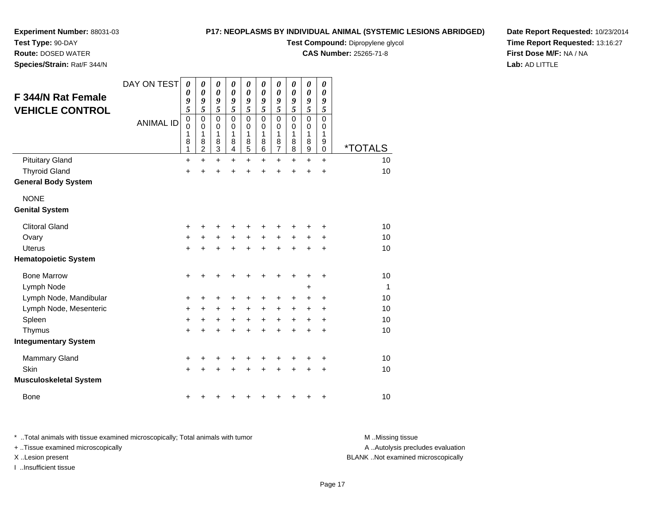**Route:** DOSED WATER

**Test Type:** 90-DAY

**Species/Strain:** Rat/F 344/N

## **P17: NEOPLASMS BY INDIVIDUAL ANIMAL (SYSTEMIC LESIONS ABRIDGED)**

**Test Compound:** Dipropylene glycol

**CAS Number:** 25265-71-8

**Date Report Requested:** 10/23/2014**Time Report Requested:** 13:16:27**First Dose M/F:** NA / NA**Lab:** AD LITTLE

| <b>F 344/N Rat Female</b><br><b>VEHICLE CONTROL</b> | DAY ON TEST<br><b>ANIMAL ID</b> | $\boldsymbol{\theta}$<br>0<br>9<br>5<br>$\mathbf 0$<br>$\mathbf 0$<br>1<br>8<br>1 | 0<br>0<br>9<br>5<br>$\mathbf 0$<br>$\mathbf 0$<br>1<br>8<br>$\overline{2}$ | $\boldsymbol{\theta}$<br>$\boldsymbol{\theta}$<br>9<br>5<br>$\mathbf 0$<br>$\mathbf 0$<br>1<br>8<br>$\overline{3}$ | 0<br>$\boldsymbol{\theta}$<br>9<br>5<br>$\mathbf 0$<br>$\mathbf 0$<br>1<br>8<br>4 | $\boldsymbol{\theta}$<br>$\boldsymbol{\theta}$<br>9<br>5<br>$\mathbf 0$<br>0<br>1<br>8<br>$\overline{5}$ | 0<br>$\boldsymbol{\theta}$<br>9<br>5<br>$\mathbf 0$<br>0<br>1<br>8<br>6 | 0<br>$\boldsymbol{\theta}$<br>9<br>5<br>$\mathbf 0$<br>$\mathbf 0$<br>1<br>8<br>$\overline{7}$ | 0<br>$\boldsymbol{\theta}$<br>9<br>5<br>$\mathbf 0$<br>0<br>1<br>8<br>8 | 0<br>$\boldsymbol{\theta}$<br>9<br>5<br>$\mathbf 0$<br>$\mathbf 0$<br>1<br>8<br>$\overline{9}$ | 0<br>0<br>9<br>5<br>$\mathbf 0$<br>$\mathbf 0$<br>1<br>9<br>$\mathbf 0$ | <i><b>*TOTALS</b></i> |
|-----------------------------------------------------|---------------------------------|-----------------------------------------------------------------------------------|----------------------------------------------------------------------------|--------------------------------------------------------------------------------------------------------------------|-----------------------------------------------------------------------------------|----------------------------------------------------------------------------------------------------------|-------------------------------------------------------------------------|------------------------------------------------------------------------------------------------|-------------------------------------------------------------------------|------------------------------------------------------------------------------------------------|-------------------------------------------------------------------------|-----------------------|
| <b>Pituitary Gland</b>                              |                                 | +                                                                                 | +                                                                          | +                                                                                                                  | +                                                                                 | +                                                                                                        | +                                                                       | +                                                                                              | $\div$                                                                  | $\div$                                                                                         | $\ddot{}$                                                               | 10                    |
| <b>Thyroid Gland</b>                                |                                 | $\ddot{}$                                                                         |                                                                            |                                                                                                                    |                                                                                   | +                                                                                                        | +                                                                       | +                                                                                              | $\ddot{}$                                                               | $\ddot{}$                                                                                      | +                                                                       | 10                    |
| <b>General Body System</b>                          |                                 |                                                                                   |                                                                            |                                                                                                                    |                                                                                   |                                                                                                          |                                                                         |                                                                                                |                                                                         |                                                                                                |                                                                         |                       |
| <b>NONE</b><br><b>Genital System</b>                |                                 |                                                                                   |                                                                            |                                                                                                                    |                                                                                   |                                                                                                          |                                                                         |                                                                                                |                                                                         |                                                                                                |                                                                         |                       |
| <b>Clitoral Gland</b>                               |                                 | +                                                                                 |                                                                            |                                                                                                                    |                                                                                   | +                                                                                                        |                                                                         | +                                                                                              |                                                                         |                                                                                                |                                                                         | 10                    |
| Ovary                                               |                                 | +                                                                                 | +                                                                          | +                                                                                                                  | $\ddot{}$                                                                         | $\ddot{}$                                                                                                | $\ddot{}$                                                               | $\ddot{}$                                                                                      | +                                                                       | +                                                                                              | +                                                                       | 10                    |
| <b>Uterus</b>                                       |                                 | $\ddot{}$                                                                         |                                                                            |                                                                                                                    |                                                                                   | $\ddot{}$                                                                                                |                                                                         | $\ddot{}$                                                                                      | ÷                                                                       | $\ddot{}$                                                                                      | $\ddot{}$                                                               | 10                    |
| <b>Hematopoietic System</b>                         |                                 |                                                                                   |                                                                            |                                                                                                                    |                                                                                   |                                                                                                          |                                                                         |                                                                                                |                                                                         |                                                                                                |                                                                         |                       |
| <b>Bone Marrow</b>                                  |                                 | +                                                                                 |                                                                            |                                                                                                                    |                                                                                   | +                                                                                                        | +                                                                       | +                                                                                              | +                                                                       | +                                                                                              | +                                                                       | 10                    |
| Lymph Node                                          |                                 |                                                                                   |                                                                            |                                                                                                                    |                                                                                   |                                                                                                          |                                                                         |                                                                                                |                                                                         | +                                                                                              |                                                                         | $\mathbf{1}$          |
| Lymph Node, Mandibular                              |                                 | +                                                                                 | +                                                                          | +                                                                                                                  | +                                                                                 | +                                                                                                        | +                                                                       | +                                                                                              | +                                                                       | +                                                                                              | +                                                                       | 10                    |
| Lymph Node, Mesenteric                              |                                 | +                                                                                 | $\ddot{}$                                                                  | +                                                                                                                  | $\ddot{}$                                                                         | +                                                                                                        | $\ddot{}$                                                               | +                                                                                              | $\ddot{}$                                                               | $\ddot{}$                                                                                      | $\ddot{}$                                                               | 10                    |
| Spleen                                              |                                 | +                                                                                 | +                                                                          | +                                                                                                                  | +                                                                                 | +                                                                                                        | +                                                                       | +                                                                                              | +                                                                       | $\ddot{}$                                                                                      | $\ddot{}$                                                               | 10                    |
| Thymus                                              |                                 | $\ddot{}$                                                                         |                                                                            |                                                                                                                    |                                                                                   | Ł                                                                                                        |                                                                         | $\ddot{}$                                                                                      | $\ddot{}$                                                               | $\ddot{}$                                                                                      | $\ddot{}$                                                               | 10                    |
| <b>Integumentary System</b>                         |                                 |                                                                                   |                                                                            |                                                                                                                    |                                                                                   |                                                                                                          |                                                                         |                                                                                                |                                                                         |                                                                                                |                                                                         |                       |
| <b>Mammary Gland</b>                                |                                 | +                                                                                 | +                                                                          | +                                                                                                                  | +                                                                                 | +                                                                                                        | ٠                                                                       | +                                                                                              | ٠                                                                       | ٠                                                                                              | +                                                                       | 10                    |
| Skin                                                |                                 | $\ddot{}$                                                                         |                                                                            |                                                                                                                    |                                                                                   |                                                                                                          |                                                                         | +                                                                                              | +                                                                       | +                                                                                              | $\ddot{}$                                                               | 10                    |
| <b>Musculoskeletal System</b>                       |                                 |                                                                                   |                                                                            |                                                                                                                    |                                                                                   |                                                                                                          |                                                                         |                                                                                                |                                                                         |                                                                                                |                                                                         |                       |
| <b>Bone</b>                                         |                                 | +                                                                                 |                                                                            |                                                                                                                    |                                                                                   |                                                                                                          |                                                                         | +                                                                                              | +                                                                       | +                                                                                              | +                                                                       | 10                    |

\* ..Total animals with tissue examined microscopically; Total animals with tumor **M** . Missing tissue M ..Missing tissue A ..Autolysis precludes evaluation + ..Tissue examined microscopically X ..Lesion present BLANK ..Not examined microscopicallyI ..Insufficient tissue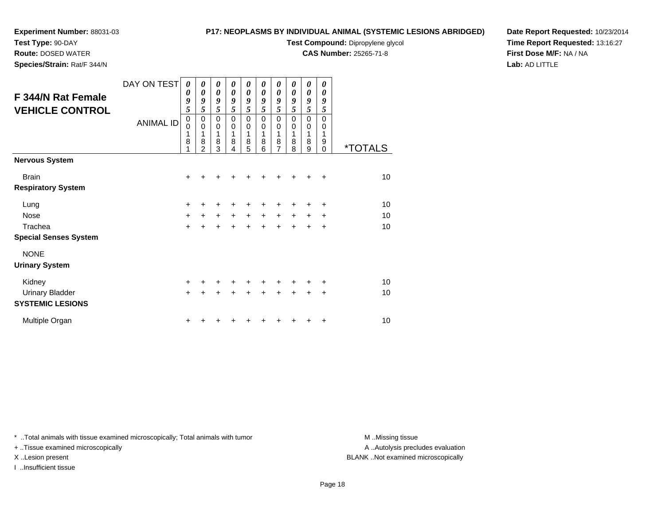**Route:** DOSED WATER**Species/Strain:** Rat/F 344/N

### **P17: NEOPLASMS BY INDIVIDUAL ANIMAL (SYSTEMIC LESIONS ABRIDGED)**

**Test Compound:** Dipropylene glycol

**CAS Number:** 25265-71-8

**Date Report Requested:** 10/23/2014**Time Report Requested:** 13:16:27**First Dose M/F:** NA / NA**Lab:** AD LITTLE

| DAY ON TEST      | 0<br>0         | 0<br>0              | 0<br>0    | 0<br>0           | 0<br>0    | 0<br>0           | 0<br>0                | 0<br>0 | 0<br>$\boldsymbol{\theta}$ | 0<br>$\boldsymbol{\theta}$ |                       |
|------------------|----------------|---------------------|-----------|------------------|-----------|------------------|-----------------------|--------|----------------------------|----------------------------|-----------------------|
|                  | 9              | 9                   | 9         | 9                | 9         | 9                | 9                     | 9      | 9                          | 9                          |                       |
|                  | 5              | 5                   | 5         | 5                | 5         | 5                | 5                     | 5      | 5                          | 5                          |                       |
| <b>ANIMAL ID</b> | $\pmb{0}$<br>0 | $\mathbf 0$<br>0    | 0<br>0    | $\mathbf 0$<br>0 | 0<br>0    | $\mathbf 0$<br>0 | 0<br>$\boldsymbol{0}$ | 0<br>0 | 0<br>$\boldsymbol{0}$      | $\mathbf 0$<br>0           |                       |
|                  | 1              | 1                   | 1         | 1                | 1         | 1                | 1                     | 1      | 1                          | 1                          |                       |
|                  | 8<br>1         | 8<br>$\overline{2}$ | 8<br>3    | 8<br>4           | 8<br>5    | 8<br>6           | 8<br>$\overline{7}$   | 8<br>8 | 8<br>9                     | 9<br>$\Omega$              | <i><b>*TOTALS</b></i> |
|                  |                |                     |           |                  |           |                  |                       |        |                            |                            |                       |
|                  | +              |                     |           |                  |           |                  |                       |        |                            | ÷                          | 10 <sup>1</sup>       |
|                  |                |                     |           |                  |           |                  |                       |        |                            |                            |                       |
|                  | $\ddot{}$      | ٠                   | +         | +                | +         | +                | +                     |        | +                          | +                          | 10                    |
|                  | $\ddot{}$      | $\pm$               | $\ddot{}$ | $+$              | $\ddot{}$ | $\ddot{}$        | +                     | $\pm$  | $\pm$                      | +                          | 10                    |
|                  | $\ddot{}$      | $\ddot{}$           | $\ddot{}$ | $\ddot{}$        | $\ddot{}$ |                  | $\div$                |        | $\div$                     | $\ddot{}$                  | 10                    |
|                  |                |                     |           |                  |           |                  |                       |        |                            |                            |                       |
|                  |                |                     |           |                  |           |                  |                       |        |                            |                            |                       |
|                  |                |                     |           |                  |           |                  |                       |        |                            |                            |                       |
|                  | $\ddot{}$      | ٠                   | +         | +                | ٠         |                  | +                     |        |                            | ÷                          | 10                    |
|                  | $\ddot{}$      | $\div$              | $\ddot{}$ | +                | +         |                  | +                     |        | +                          | $\ddot{}$                  | 10                    |
|                  |                |                     |           |                  |           |                  |                       |        |                            |                            |                       |
|                  | ٠              |                     |           |                  |           |                  |                       |        |                            | ÷                          | 10                    |
|                  |                |                     |           |                  |           |                  |                       |        |                            |                            |                       |

\* ..Total animals with tissue examined microscopically; Total animals with tumor **M** . Missing tissue M ..Missing tissue

+ ..Tissue examined microscopically

I ..Insufficient tissue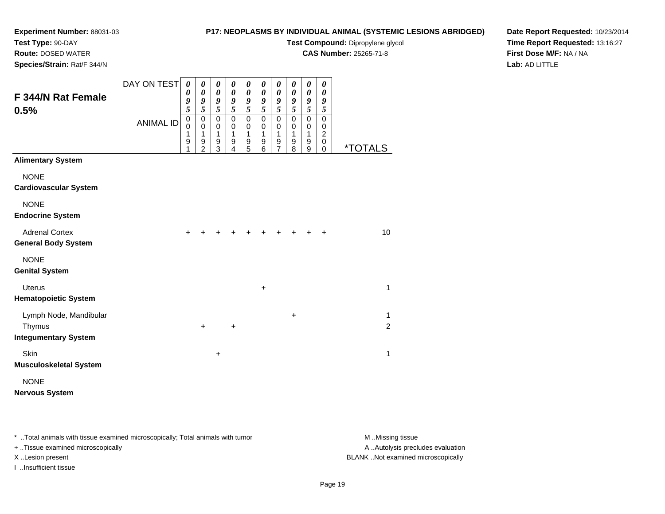**Route:** DOSED WATER

# **P17: NEOPLASMS BY INDIVIDUAL ANIMAL (SYSTEMIC LESIONS ABRIDGED)**

**Test Compound:** Dipropylene glycol

**CAS Number:** 25265-71-8

**Date Report Requested:** 10/23/2014**Time Report Requested:** 13:16:27**First Dose M/F:** NA / NA**Lab:** AD LITTLE

| Species/Strain: Rat/F 344/N                         |                  |                                 |                                           |                                         |                               |                                       |                                 |                                                              |                                 |                                          |                                                  |                       |
|-----------------------------------------------------|------------------|---------------------------------|-------------------------------------------|-----------------------------------------|-------------------------------|---------------------------------------|---------------------------------|--------------------------------------------------------------|---------------------------------|------------------------------------------|--------------------------------------------------|-----------------------|
|                                                     | DAY ON TEST      | 0<br>0                          | 0<br>$\boldsymbol{\theta}$                | 0<br>$\pmb{\theta}$                     | 0<br>$\pmb{\theta}$           | 0<br>$\boldsymbol{\theta}$            | 0<br>$\pmb{\theta}$             | 0<br>$\boldsymbol{\theta}$                                   | 0<br>$\boldsymbol{\theta}$      | 0<br>$\boldsymbol{\theta}$               | 0<br>$\boldsymbol{\theta}$                       |                       |
| <b>F344/N Rat Female</b><br>0.5%                    |                  | 9<br>$\overline{\mathbf{5}}$    | 9<br>5                                    | 9<br>$\overline{5}$                     | 9<br>5                        | 9<br>$\overline{\mathbf{5}}$          | 9<br>5                          | 9<br>5                                                       | 9<br>$\sqrt{5}$                 | $\pmb{9}$<br>$\mathfrak{s}$              | 9<br>5                                           |                       |
|                                                     | <b>ANIMAL ID</b> | $\mathbf 0$<br>0<br>1<br>9<br>1 | $\mathbf 0$<br>$\mathbf 0$<br>1<br>9<br>2 | $\mathsf 0$<br>$\pmb{0}$<br>1<br>9<br>3 | $\pmb{0}$<br>0<br>1<br>9<br>4 | $\pmb{0}$<br>$\pmb{0}$<br>1<br>9<br>5 | $\mathbf 0$<br>0<br>1<br>9<br>6 | $\pmb{0}$<br>$\pmb{0}$<br>$\mathbf 1$<br>9<br>$\overline{7}$ | $\mathbf 0$<br>0<br>1<br>9<br>8 | $\pmb{0}$<br>0<br>$\mathbf{1}$<br>9<br>9 | $\pmb{0}$<br>0<br>$\overline{c}$<br>$\,0\,$<br>0 | <i><b>*TOTALS</b></i> |
| <b>Alimentary System</b>                            |                  |                                 |                                           |                                         |                               |                                       |                                 |                                                              |                                 |                                          |                                                  |                       |
| <b>NONE</b>                                         |                  |                                 |                                           |                                         |                               |                                       |                                 |                                                              |                                 |                                          |                                                  |                       |
| <b>Cardiovascular System</b>                        |                  |                                 |                                           |                                         |                               |                                       |                                 |                                                              |                                 |                                          |                                                  |                       |
| <b>NONE</b>                                         |                  |                                 |                                           |                                         |                               |                                       |                                 |                                                              |                                 |                                          |                                                  |                       |
| <b>Endocrine System</b>                             |                  |                                 |                                           |                                         |                               |                                       |                                 |                                                              |                                 |                                          |                                                  |                       |
| <b>Adrenal Cortex</b><br><b>General Body System</b> |                  | +                               |                                           |                                         |                               |                                       |                                 |                                                              |                                 |                                          | ٠                                                | 10                    |
| <b>NONE</b><br><b>Genital System</b>                |                  |                                 |                                           |                                         |                               |                                       |                                 |                                                              |                                 |                                          |                                                  |                       |
| <b>Uterus</b><br><b>Hematopoietic System</b>        |                  |                                 |                                           |                                         |                               |                                       | +                               |                                                              |                                 |                                          |                                                  | $\mathbf{1}$          |
| Lymph Node, Mandibular<br>Thymus                    |                  |                                 | $\ddot{}$                                 |                                         | +                             |                                       |                                 |                                                              | +                               |                                          |                                                  | 1<br>$\overline{c}$   |
| <b>Integumentary System</b>                         |                  |                                 |                                           |                                         |                               |                                       |                                 |                                                              |                                 |                                          |                                                  |                       |
| Skin<br><b>Musculoskeletal System</b>               |                  |                                 |                                           | $\ddot{}$                               |                               |                                       |                                 |                                                              |                                 |                                          |                                                  | $\mathbf{1}$          |
| <b>NONE</b>                                         |                  |                                 |                                           |                                         |                               |                                       |                                 |                                                              |                                 |                                          |                                                  |                       |
| <b>Nervous System</b>                               |                  |                                 |                                           |                                         |                               |                                       |                                 |                                                              |                                 |                                          |                                                  |                       |

\* ..Total animals with tissue examined microscopically; Total animals with tumor **M** . Missing tissue M ..Missing tissue

+ ..Tissue examined microscopically

I ..Insufficient tissue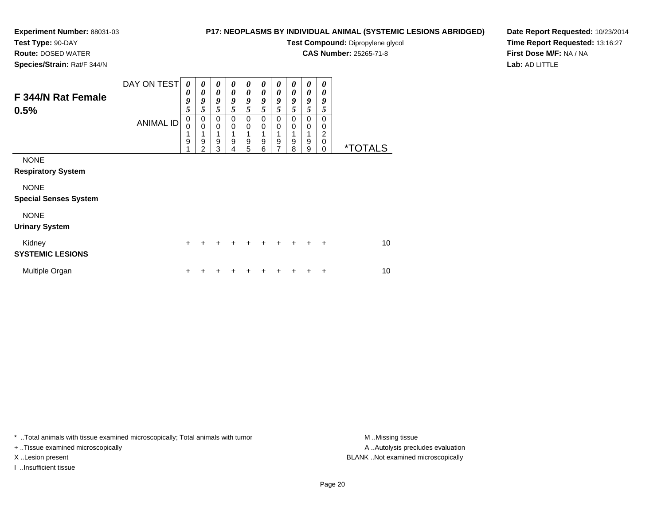**Route:** DOSED WATER**Species/Strain:** Rat/F 344/N

## **P17: NEOPLASMS BY INDIVIDUAL ANIMAL (SYSTEMIC LESIONS ABRIDGED)**

**Test Compound:** Dipropylene glycol

**CAS Number:** 25265-71-8

**Date Report Requested:** 10/23/2014**Time Report Requested:** 13:16:27**First Dose M/F:** NA / NA**Lab:** AD LITTLE

| <b>F 344/N Rat Female</b><br>0.5%                                                                      | DAY ON TEST<br><b>ANIMAL ID</b> | 0<br>0<br>9<br>5<br>0<br>0<br>1<br>9 | 0<br>0<br>9<br>5<br>0<br>$\mathbf 0$<br>1<br>9<br>$\mathfrak{p}$ | 0<br>0<br>9<br>5<br>0<br>0<br>1<br>9<br>3 | 0<br>0<br>9<br>5<br>0<br>0<br>9<br>4 | 0<br>$\boldsymbol{\theta}$<br>9<br>5<br>0<br>$\mathbf 0$<br>9<br>5 | 0<br>$\boldsymbol{\theta}$<br>9<br>5<br>0<br>$\mathbf 0$<br>1<br>9<br>6 | 0<br>0<br>9<br>5<br>0<br>$\mathbf 0$<br>1<br>$\boldsymbol{9}$<br>7 | 0<br>0<br>9<br>5<br>0<br>0<br>9<br>8 | 0<br>0<br>9<br>5<br>0<br>0<br>9<br>9 | 0<br>0<br>9<br>5<br>0<br>0<br>2<br>$\mathbf 0$<br>0 | <i><b>*TOTALS</b></i> |
|--------------------------------------------------------------------------------------------------------|---------------------------------|--------------------------------------|------------------------------------------------------------------|-------------------------------------------|--------------------------------------|--------------------------------------------------------------------|-------------------------------------------------------------------------|--------------------------------------------------------------------|--------------------------------------|--------------------------------------|-----------------------------------------------------|-----------------------|
| <b>NONE</b><br><b>Respiratory System</b><br><b>NONE</b><br><b>Special Senses System</b><br><b>NONE</b> |                                 |                                      |                                                                  |                                           |                                      |                                                                    |                                                                         |                                                                    |                                      |                                      |                                                     |                       |
| <b>Urinary System</b><br>Kidney<br><b>SYSTEMIC LESIONS</b>                                             |                                 | +                                    |                                                                  | +                                         |                                      | +                                                                  | $\div$                                                                  | $\ddot{}$                                                          | $\ddot{}$                            | $\ddot{}$                            | $\ddot{}$                                           | 10                    |
| Multiple Organ                                                                                         |                                 | +                                    |                                                                  |                                           |                                      |                                                                    |                                                                         |                                                                    |                                      |                                      | ٠                                                   | 10                    |

\* ..Total animals with tissue examined microscopically; Total animals with tumor **M** . Missing tissue M ..Missing tissue

+ ..Tissue examined microscopically

I ..Insufficient tissue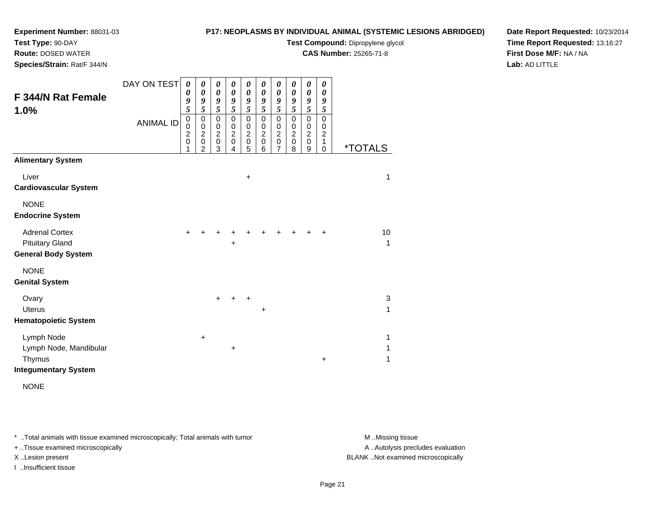**Test Type:** 90-DAY

**Route:** DOSED WATER

**Species/Strain:** Rat/F 344/N

## **P17: NEOPLASMS BY INDIVIDUAL ANIMAL (SYSTEMIC LESIONS ABRIDGED)**

**Test Compound:** Dipropylene glycol

**CAS Number:** 25265-71-8

**Date Report Requested:** 10/23/2014**Time Report Requested:** 13:16:27**First Dose M/F:** NA / NA**Lab:** AD LITTLE

| F 344/N Rat Female<br>1.0%                                                    | DAY ON TEST<br><b>ANIMAL ID</b> | $\boldsymbol{\theta}$<br>0<br>9<br>5<br>$\pmb{0}$<br>$\mathbf 0$<br>$\overline{c}$<br>$\mathbf 0$ | $\boldsymbol{\theta}$<br>$\boldsymbol{\theta}$<br>9<br>5<br>0<br>$\,0\,$<br>$\boldsymbol{2}$<br>$\pmb{0}$ | $\pmb{\theta}$<br>$\boldsymbol{\theta}$<br>9<br>5<br>$\mathbf 0$<br>$\,0\,$<br>$\boldsymbol{2}$<br>$\mathbf 0$ | $\boldsymbol{\theta}$<br>$\boldsymbol{\theta}$<br>9<br>5<br>$\mathbf 0$<br>$\,0\,$<br>$\boldsymbol{2}$<br>0 | $\boldsymbol{\theta}$<br>$\boldsymbol{\theta}$<br>9<br>5<br>$\pmb{0}$<br>0<br>$\boldsymbol{2}$<br>$\mathbf 0$ | 0<br>$\boldsymbol{\theta}$<br>9<br>5<br>$\mathbf 0$<br>$\mathbf 0$<br>$\boldsymbol{2}$<br>$\,0\,$ | $\boldsymbol{\theta}$<br>$\boldsymbol{\theta}$<br>$\boldsymbol{g}$<br>5<br>$\mathbf 0$<br>$\mathbf 0$<br>$\boldsymbol{2}$<br>$\mathbf 0$ | 0<br>0<br>9<br>5<br>$\mathbf 0$<br>$\mathbf 0$<br>$\overline{c}$<br>0 | $\boldsymbol{\theta}$<br>$\boldsymbol{\theta}$<br>9<br>5<br>$\mathbf 0$<br>0<br>$\boldsymbol{2}$<br>$\pmb{0}$ | $\boldsymbol{\theta}$<br>$\boldsymbol{\theta}$<br>9<br>5<br>$\mathbf 0$<br>0<br>$\boldsymbol{2}$<br>1 |                       |
|-------------------------------------------------------------------------------|---------------------------------|---------------------------------------------------------------------------------------------------|-----------------------------------------------------------------------------------------------------------|----------------------------------------------------------------------------------------------------------------|-------------------------------------------------------------------------------------------------------------|---------------------------------------------------------------------------------------------------------------|---------------------------------------------------------------------------------------------------|------------------------------------------------------------------------------------------------------------------------------------------|-----------------------------------------------------------------------|---------------------------------------------------------------------------------------------------------------|-------------------------------------------------------------------------------------------------------|-----------------------|
| <b>Alimentary System</b>                                                      |                                 | 1                                                                                                 | $\overline{2}$                                                                                            | 3                                                                                                              | 4                                                                                                           | 5                                                                                                             | 6                                                                                                 | $\overline{7}$                                                                                                                           | 8                                                                     | $\boldsymbol{9}$                                                                                              | 0                                                                                                     | <i><b>*TOTALS</b></i> |
| Liver<br><b>Cardiovascular System</b>                                         |                                 |                                                                                                   |                                                                                                           |                                                                                                                |                                                                                                             | $\ddot{}$                                                                                                     |                                                                                                   |                                                                                                                                          |                                                                       |                                                                                                               |                                                                                                       | $\mathbf{1}$          |
| <b>NONE</b><br><b>Endocrine System</b>                                        |                                 |                                                                                                   |                                                                                                           |                                                                                                                |                                                                                                             |                                                                                                               |                                                                                                   |                                                                                                                                          |                                                                       |                                                                                                               |                                                                                                       |                       |
| <b>Adrenal Cortex</b><br><b>Pituitary Gland</b><br><b>General Body System</b> |                                 | $\ddot{}$                                                                                         |                                                                                                           |                                                                                                                | +                                                                                                           |                                                                                                               |                                                                                                   |                                                                                                                                          |                                                                       |                                                                                                               | +                                                                                                     | 10<br>$\mathbf{1}$    |
| <b>NONE</b><br><b>Genital System</b>                                          |                                 |                                                                                                   |                                                                                                           |                                                                                                                |                                                                                                             |                                                                                                               |                                                                                                   |                                                                                                                                          |                                                                       |                                                                                                               |                                                                                                       |                       |
| Ovary<br><b>Uterus</b>                                                        |                                 |                                                                                                   |                                                                                                           | $\ddot{}$                                                                                                      | $\ddot{}$                                                                                                   | $\ddot{}$                                                                                                     | $\ddot{}$                                                                                         |                                                                                                                                          |                                                                       |                                                                                                               |                                                                                                       | 3<br>$\mathbf{1}$     |
| <b>Hematopoietic System</b>                                                   |                                 |                                                                                                   |                                                                                                           |                                                                                                                |                                                                                                             |                                                                                                               |                                                                                                   |                                                                                                                                          |                                                                       |                                                                                                               |                                                                                                       |                       |
| Lymph Node<br>Lymph Node, Mandibular<br>Thymus<br><b>Integumentary System</b> |                                 |                                                                                                   | $+$                                                                                                       |                                                                                                                | $\ddot{}$                                                                                                   |                                                                                                               |                                                                                                   |                                                                                                                                          |                                                                       |                                                                                                               | $\ddot{}$                                                                                             | 1<br>1<br>1           |

NONE

\* ..Total animals with tissue examined microscopically; Total animals with tumor **M** . Missing tissue M ..Missing tissue

+ ..Tissue examined microscopically

I ..Insufficient tissue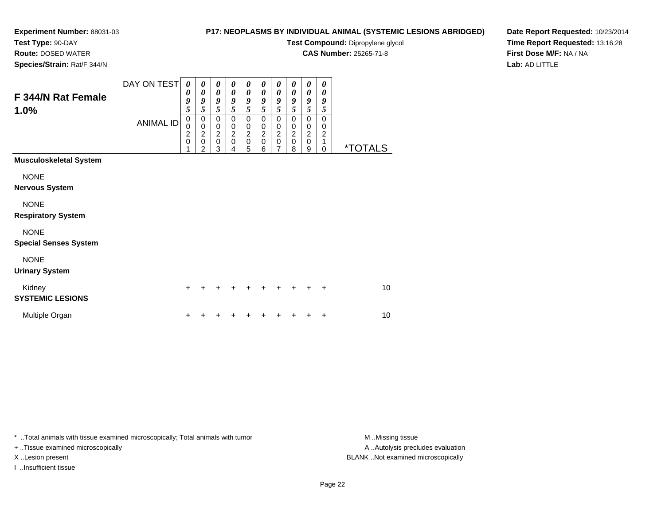# **Test Type:** 90-DAY

**Route:** DOSED WATER

**Species/Strain:** Rat/F 344/N

# **P17: NEOPLASMS BY INDIVIDUAL ANIMAL (SYSTEMIC LESIONS ABRIDGED)**

**Test Compound:** Dipropylene glycol

**CAS Number:** 25265-71-8

**Date Report Requested:** 10/23/2014**Time Report Requested:** 13:16:28**First Dose M/F:** NA / NA**Lab:** AD LITTLE

| <b>F 344/N Rat Female</b><br>1.0%           | DAY ON TEST      | $\boldsymbol{\theta}$<br>0<br>9<br>5                        | 0<br>0<br>9<br>5                                     | 0<br>$\boldsymbol{\theta}$<br>9<br>5                 | 0<br>0<br>9<br>5                                                 | 0<br>$\boldsymbol{\theta}$<br>9<br>5         | 0<br>0<br>9<br>5                                         | 0<br>0<br>9<br>5                                          | 0<br>$\boldsymbol{\theta}$<br>9<br>5                          | 0<br>0<br>9<br>5                                     | 0<br>0<br>9<br>5                             |                       |
|---------------------------------------------|------------------|-------------------------------------------------------------|------------------------------------------------------|------------------------------------------------------|------------------------------------------------------------------|----------------------------------------------|----------------------------------------------------------|-----------------------------------------------------------|---------------------------------------------------------------|------------------------------------------------------|----------------------------------------------|-----------------------|
|                                             | <b>ANIMAL ID</b> | $\mathbf 0$<br>$\mathbf 0$<br>$\overline{c}$<br>$\mathbf 0$ | 0<br>$\pmb{0}$<br>$\overline{c}$<br>$\mathbf 0$<br>2 | 0<br>$\pmb{0}$<br>$\overline{2}$<br>$\mathbf 0$<br>3 | $\mathbf 0$<br>$\mathbf 0$<br>$\boldsymbol{2}$<br>$\pmb{0}$<br>4 | $\pmb{0}$<br>$\pmb{0}$<br>$\frac{2}{0}$<br>5 | $\mathbf 0$<br>0<br>$\boldsymbol{2}$<br>$\mathsf 0$<br>6 | $\pmb{0}$<br>$\pmb{0}$<br>$\frac{2}{0}$<br>$\overline{7}$ | $\Omega$<br>$\mathbf 0$<br>$\overline{2}$<br>$\mathbf 0$<br>8 | 0<br>$\pmb{0}$<br>$\overline{2}$<br>$\mathbf 0$<br>9 | $\mathbf 0$<br>0<br>$\overline{2}$<br>1<br>0 | <i><b>*TOTALS</b></i> |
| <b>Musculoskeletal System</b>               |                  |                                                             |                                                      |                                                      |                                                                  |                                              |                                                          |                                                           |                                                               |                                                      |                                              |                       |
| <b>NONE</b><br><b>Nervous System</b>        |                  |                                                             |                                                      |                                                      |                                                                  |                                              |                                                          |                                                           |                                                               |                                                      |                                              |                       |
| <b>NONE</b><br><b>Respiratory System</b>    |                  |                                                             |                                                      |                                                      |                                                                  |                                              |                                                          |                                                           |                                                               |                                                      |                                              |                       |
| <b>NONE</b><br><b>Special Senses System</b> |                  |                                                             |                                                      |                                                      |                                                                  |                                              |                                                          |                                                           |                                                               |                                                      |                                              |                       |
| <b>NONE</b><br><b>Urinary System</b>        |                  |                                                             |                                                      |                                                      |                                                                  |                                              |                                                          |                                                           |                                                               |                                                      |                                              |                       |
| Kidney<br><b>SYSTEMIC LESIONS</b>           |                  | +                                                           |                                                      |                                                      |                                                                  |                                              |                                                          |                                                           |                                                               |                                                      | $\ddot{}$                                    | 10 <sup>1</sup>       |
| Multiple Organ                              |                  | +                                                           |                                                      |                                                      |                                                                  |                                              |                                                          |                                                           |                                                               |                                                      | +                                            | 10                    |

\* ..Total animals with tissue examined microscopically; Total animals with tumor **M** . Missing tissue M ..Missing tissue

+ ..Tissue examined microscopically

I ..Insufficient tissue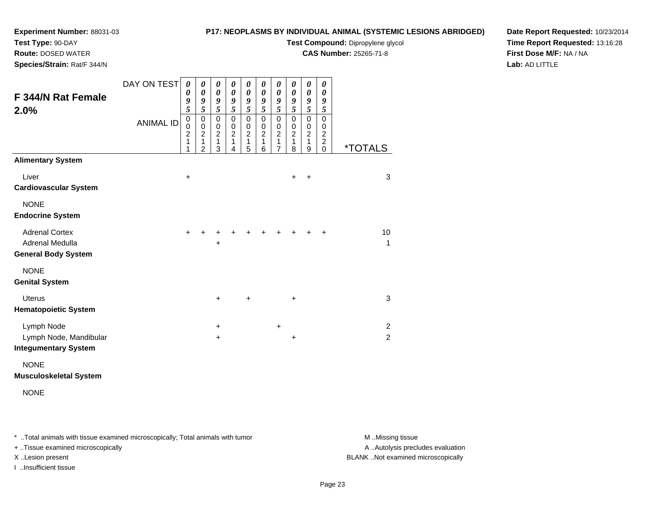## **Test Type:** 90-DAY

**Route:** DOSED WATER

**Species/Strain:** Rat/F 344/N

# **P17: NEOPLASMS BY INDIVIDUAL ANIMAL (SYSTEMIC LESIONS ABRIDGED)**

**Test Compound:** Dipropylene glycol

**CAS Number:** 25265-71-8

**Date Report Requested:** 10/23/2014**Time Report Requested:** 13:16:28**First Dose M/F:** NA / NA**Lab:** AD LITTLE

| F 344/N Rat Female<br>2.0%                                             | DAY ON TEST<br><b>ANIMAL ID</b> | 0<br>0<br>9<br>5<br>$\mathbf 0$<br>$\mathbf 0$<br>$\overline{2}$<br>1 | 0<br>$\boldsymbol{\theta}$<br>9<br>5<br>0<br>$\pmb{0}$<br>$\overline{2}$<br>1 | 0<br>$\boldsymbol{\theta}$<br>9<br>5<br>0<br>$\,0\,$<br>$\overline{2}$<br>$\mathbf{1}$ | 0<br>$\boldsymbol{\theta}$<br>9<br>5<br>$\pmb{0}$<br>$\,0\,$<br>$\overline{2}$<br>1 | 0<br>$\boldsymbol{\theta}$<br>9<br>5<br>0<br>$\,0\,$<br>$\overline{2}$<br>$\mathbf{1}$ | 0<br>$\boldsymbol{\theta}$<br>9<br>5<br>0<br>$\mathbf 0$<br>$\boldsymbol{2}$<br>1 | 0<br>$\boldsymbol{\theta}$<br>9<br>5<br>$\mathbf 0$<br>$\,0\,$<br>$\overline{2}$<br>$\mathbf{1}$ | 0<br>0<br>9<br>5<br>0<br>0<br>$\overline{2}$<br>$\mathbf{1}$ | 0<br>$\boldsymbol{\theta}$<br>9<br>5<br>$\mathbf 0$<br>$\pmb{0}$<br>$\overline{2}$<br>$\mathbf{1}$ | 0<br>$\boldsymbol{\theta}$<br>9<br>5<br>$\mathbf 0$<br>0<br>$\boldsymbol{2}$<br>$\overline{c}$ |                                  |
|------------------------------------------------------------------------|---------------------------------|-----------------------------------------------------------------------|-------------------------------------------------------------------------------|----------------------------------------------------------------------------------------|-------------------------------------------------------------------------------------|----------------------------------------------------------------------------------------|-----------------------------------------------------------------------------------|--------------------------------------------------------------------------------------------------|--------------------------------------------------------------|----------------------------------------------------------------------------------------------------|------------------------------------------------------------------------------------------------|----------------------------------|
|                                                                        |                                 | 1                                                                     | $\overline{2}$                                                                | 3                                                                                      | 4                                                                                   | 5                                                                                      | 6                                                                                 | $\overline{7}$                                                                                   | 8                                                            | $\boldsymbol{9}$                                                                                   | $\mathbf 0$                                                                                    | <i><b>*TOTALS</b></i>            |
| <b>Alimentary System</b>                                               |                                 |                                                                       |                                                                               |                                                                                        |                                                                                     |                                                                                        |                                                                                   |                                                                                                  |                                                              |                                                                                                    |                                                                                                |                                  |
| Liver<br><b>Cardiovascular System</b>                                  |                                 | $\ddot{}$                                                             |                                                                               |                                                                                        |                                                                                     |                                                                                        |                                                                                   |                                                                                                  | $\ddot{}$                                                    | $\ddot{}$                                                                                          |                                                                                                | 3                                |
| <b>NONE</b><br><b>Endocrine System</b>                                 |                                 |                                                                       |                                                                               |                                                                                        |                                                                                     |                                                                                        |                                                                                   |                                                                                                  |                                                              |                                                                                                    |                                                                                                |                                  |
| <b>Adrenal Cortex</b><br>Adrenal Medulla<br><b>General Body System</b> |                                 | $\ddot{}$                                                             |                                                                               | +<br>+                                                                                 |                                                                                     |                                                                                        |                                                                                   |                                                                                                  |                                                              |                                                                                                    | +                                                                                              | 10<br>$\mathbf{1}$               |
| <b>NONE</b><br><b>Genital System</b>                                   |                                 |                                                                       |                                                                               |                                                                                        |                                                                                     |                                                                                        |                                                                                   |                                                                                                  |                                                              |                                                                                                    |                                                                                                |                                  |
| <b>Uterus</b><br><b>Hematopoietic System</b>                           |                                 |                                                                       |                                                                               | $\ddot{}$                                                                              |                                                                                     | $\ddot{}$                                                                              |                                                                                   |                                                                                                  | $\ddot{}$                                                    |                                                                                                    |                                                                                                | $\mathbf{3}$                     |
| Lymph Node<br>Lymph Node, Mandibular<br><b>Integumentary System</b>    |                                 |                                                                       |                                                                               | $\ddot{}$<br>$\ddot{}$                                                                 |                                                                                     |                                                                                        |                                                                                   | $\ddot{}$                                                                                        | $\ddot{}$                                                    |                                                                                                    |                                                                                                | $\overline{2}$<br>$\overline{2}$ |
| <b>NONE</b><br><b>Musculoskeletal System</b>                           |                                 |                                                                       |                                                                               |                                                                                        |                                                                                     |                                                                                        |                                                                                   |                                                                                                  |                                                              |                                                                                                    |                                                                                                |                                  |

NONE

\* ..Total animals with tissue examined microscopically; Total animals with tumor **M** . Missing tissue M ..Missing tissue

+ ..Tissue examined microscopically

I ..Insufficient tissue

A ..Autolysis precludes evaluation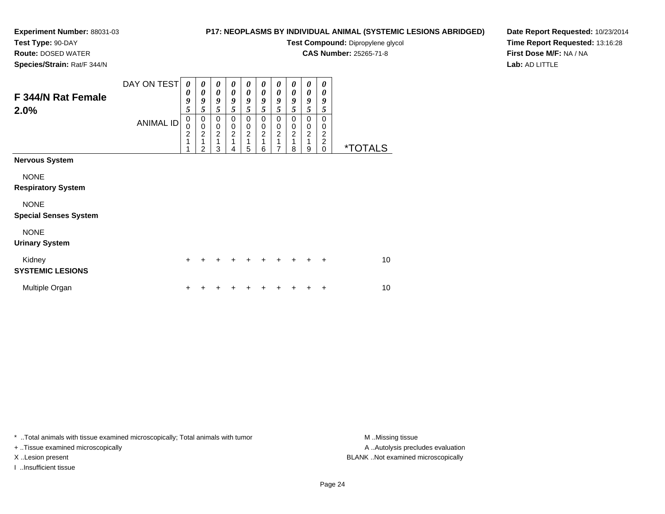**Route:** DOSED WATER**Species/Strain:** Rat/F 344/N

### **P17: NEOPLASMS BY INDIVIDUAL ANIMAL (SYSTEMIC LESIONS ABRIDGED)**

**Test Compound:** Dipropylene glycol

**CAS Number:** 25265-71-8

**Date Report Requested:** 10/23/2014**Time Report Requested:** 13:16:28**First Dose M/F:** NA / NA**Lab:** AD LITTLE

| F 344/N Rat Female<br>2.0%        | DAY ON TEST      | 0<br>0<br>9                                          | 0<br>0<br>9                                                           | 0<br>0<br>9                                     | 0<br>0<br>9                                     | 0<br>0<br>9                             | 0<br>0<br>9                                       | 0<br>0<br>9                                            | 0<br>0<br>9                                       | 0<br>0<br>9                                               | 0<br>0<br>9                                                 |                       |
|-----------------------------------|------------------|------------------------------------------------------|-----------------------------------------------------------------------|-------------------------------------------------|-------------------------------------------------|-----------------------------------------|---------------------------------------------------|--------------------------------------------------------|---------------------------------------------------|-----------------------------------------------------------|-------------------------------------------------------------|-----------------------|
|                                   | <b>ANIMAL ID</b> | 5<br>0<br>$\overline{0}$<br>$\overline{2}$<br>1<br>1 | 5<br>$\begin{matrix} 0 \\ 0 \\ 2 \end{matrix}$<br>1<br>$\overline{2}$ | 5<br>0<br>$\pmb{0}$<br>$\overline{2}$<br>1<br>3 | 5<br>0<br>$\pmb{0}$<br>$\overline{2}$<br>1<br>4 | 5<br>0<br>0<br>$\overline{c}$<br>1<br>5 | 5<br>0<br>$\mathbf 0$<br>$\overline{c}$<br>1<br>6 | 5<br>0<br>$\boldsymbol{0}$<br>$\overline{2}$<br>1<br>7 | 5<br>0<br>$\mathbf 0$<br>$\overline{c}$<br>1<br>8 | 5<br>0<br>$\begin{array}{c} 0 \\ 2 \\ 1 \end{array}$<br>9 | 5<br>0<br>0<br>$\overline{c}$<br>$\overline{c}$<br>$\Omega$ | <i><b>*TOTALS</b></i> |
| <b>Nervous System</b>             |                  |                                                      |                                                                       |                                                 |                                                 |                                         |                                                   |                                                        |                                                   |                                                           |                                                             |                       |
| <b>NONE</b>                       |                  |                                                      |                                                                       |                                                 |                                                 |                                         |                                                   |                                                        |                                                   |                                                           |                                                             |                       |
| <b>Respiratory System</b>         |                  |                                                      |                                                                       |                                                 |                                                 |                                         |                                                   |                                                        |                                                   |                                                           |                                                             |                       |
| <b>NONE</b>                       |                  |                                                      |                                                                       |                                                 |                                                 |                                         |                                                   |                                                        |                                                   |                                                           |                                                             |                       |
| <b>Special Senses System</b>      |                  |                                                      |                                                                       |                                                 |                                                 |                                         |                                                   |                                                        |                                                   |                                                           |                                                             |                       |
| <b>NONE</b>                       |                  |                                                      |                                                                       |                                                 |                                                 |                                         |                                                   |                                                        |                                                   |                                                           |                                                             |                       |
| <b>Urinary System</b>             |                  |                                                      |                                                                       |                                                 |                                                 |                                         |                                                   |                                                        |                                                   |                                                           |                                                             |                       |
| Kidney<br><b>SYSTEMIC LESIONS</b> |                  | $\pm$                                                |                                                                       |                                                 |                                                 | +                                       | +                                                 | +                                                      |                                                   | ÷                                                         | $\ddot{}$                                                   | 10 <sup>1</sup>       |
| Multiple Organ                    |                  |                                                      |                                                                       |                                                 |                                                 |                                         |                                                   |                                                        |                                                   |                                                           | ٠                                                           | 10                    |

\* ..Total animals with tissue examined microscopically; Total animals with tumor **M** . Missing tissue M ..Missing tissue

+ ..Tissue examined microscopically

I ..Insufficient tissue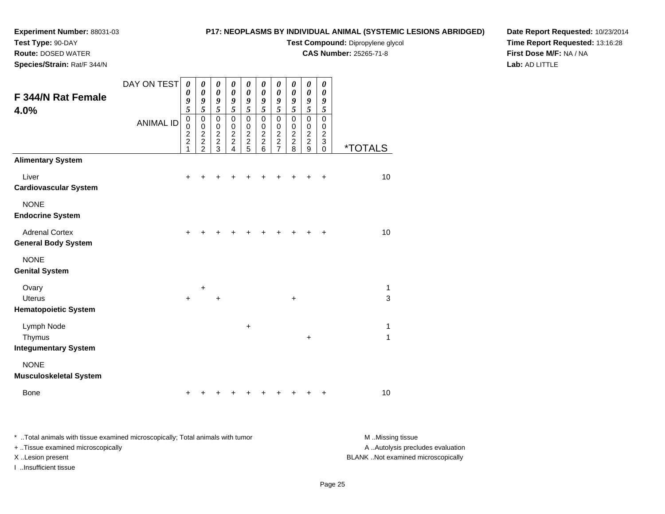# **Test Type:** 90-DAY

**Route:** DOSED WATER

**Species/Strain:** Rat/F 344/N

# **P17: NEOPLASMS BY INDIVIDUAL ANIMAL (SYSTEMIC LESIONS ABRIDGED)**

**Test Compound:** Dipropylene glycol

**CAS Number:** 25265-71-8

**Date Report Requested:** 10/23/2014**Time Report Requested:** 13:16:28**First Dose M/F:** NA / NA**Lab:** AD LITTLE

| <b>F 344/N Rat Female</b><br>4.0%                     | DAY ON TEST<br><b>ANIMAL ID</b> | 0<br>0<br>9<br>$\overline{5}$<br>$\mbox{O}$<br>$\bar{0}$<br>$\frac{2}{2}$<br>1 | 0<br>$\pmb{\theta}$<br>9<br>$\overline{5}$<br>0<br>0<br>$\overline{c}$<br>$\overline{c}$<br>$\overline{2}$ | 0<br>$\boldsymbol{\theta}$<br>9<br>$\overline{5}$<br>$\pmb{0}$<br>0<br>$\overline{c}$<br>$\overline{2}$<br>3 | 0<br>$\boldsymbol{\theta}$<br>9<br>5<br>$\pmb{0}$<br>$\mathbf 0$<br>$\overline{c}$<br>$\overline{a}$<br>4 | 0<br>0<br>9<br>$\overline{\mathbf{5}}$<br>$\mathbf 0$<br>$\pmb{0}$<br>$\overline{c}$<br>$\overline{2}$<br>5 | 0<br>0<br>9<br>5<br>$\pmb{0}$<br>$\pmb{0}$<br>$\boldsymbol{2}$<br>$\overline{2}$<br>6 | 0<br>$\boldsymbol{\theta}$<br>9<br>$\overline{5}$<br>$\pmb{0}$<br>$\pmb{0}$<br>$\frac{2}{2}$<br>$\overline{7}$ | $\boldsymbol{\theta}$<br>$\boldsymbol{\theta}$<br>9<br>5<br>$\mathbf 0$<br>$\pmb{0}$<br>$\frac{2}{2}$<br>8 | 0<br>$\boldsymbol{\theta}$<br>9<br>$\overline{5}$<br>$\mathbf 0$<br>$\pmb{0}$<br>$\frac{2}{2}$<br>9 | 0<br>0<br>9<br>5<br>0<br>0<br>$\overline{c}$<br>3<br>0 | <i><b>*TOTALS</b></i> |
|-------------------------------------------------------|---------------------------------|--------------------------------------------------------------------------------|------------------------------------------------------------------------------------------------------------|--------------------------------------------------------------------------------------------------------------|-----------------------------------------------------------------------------------------------------------|-------------------------------------------------------------------------------------------------------------|---------------------------------------------------------------------------------------|----------------------------------------------------------------------------------------------------------------|------------------------------------------------------------------------------------------------------------|-----------------------------------------------------------------------------------------------------|--------------------------------------------------------|-----------------------|
| <b>Alimentary System</b>                              |                                 |                                                                                |                                                                                                            |                                                                                                              |                                                                                                           |                                                                                                             |                                                                                       |                                                                                                                |                                                                                                            |                                                                                                     |                                                        |                       |
| Liver<br><b>Cardiovascular System</b>                 |                                 | $\pm$                                                                          |                                                                                                            |                                                                                                              |                                                                                                           |                                                                                                             |                                                                                       |                                                                                                                |                                                                                                            | +                                                                                                   | $\ddot{}$                                              | 10                    |
| <b>NONE</b><br><b>Endocrine System</b>                |                                 |                                                                                |                                                                                                            |                                                                                                              |                                                                                                           |                                                                                                             |                                                                                       |                                                                                                                |                                                                                                            |                                                                                                     |                                                        |                       |
| <b>Adrenal Cortex</b><br><b>General Body System</b>   |                                 | $+$                                                                            |                                                                                                            |                                                                                                              |                                                                                                           |                                                                                                             |                                                                                       | +                                                                                                              | $\div$                                                                                                     |                                                                                                     | $\ddot{}$                                              | 10                    |
| <b>NONE</b><br><b>Genital System</b>                  |                                 |                                                                                |                                                                                                            |                                                                                                              |                                                                                                           |                                                                                                             |                                                                                       |                                                                                                                |                                                                                                            |                                                                                                     |                                                        |                       |
| Ovary<br><b>Uterus</b><br><b>Hematopoietic System</b> |                                 | $\ddot{}$                                                                      | $\ddot{}$                                                                                                  | $\ddot{}$                                                                                                    |                                                                                                           |                                                                                                             |                                                                                       |                                                                                                                | $\ddot{}$                                                                                                  |                                                                                                     |                                                        | 1<br>3                |
| Lymph Node<br>Thymus<br><b>Integumentary System</b>   |                                 |                                                                                |                                                                                                            |                                                                                                              |                                                                                                           | +                                                                                                           |                                                                                       |                                                                                                                |                                                                                                            | $\ddot{}$                                                                                           |                                                        | 1<br>1                |
| <b>NONE</b><br><b>Musculoskeletal System</b>          |                                 |                                                                                |                                                                                                            |                                                                                                              |                                                                                                           |                                                                                                             |                                                                                       |                                                                                                                |                                                                                                            |                                                                                                     |                                                        |                       |
| <b>Bone</b>                                           |                                 | +                                                                              |                                                                                                            |                                                                                                              |                                                                                                           |                                                                                                             |                                                                                       |                                                                                                                |                                                                                                            |                                                                                                     | +                                                      | 10                    |

\* ..Total animals with tissue examined microscopically; Total animals with tumor **M** . Missing tissue M ..Missing tissue A ..Autolysis precludes evaluation + ..Tissue examined microscopically X ..Lesion present BLANK ..Not examined microscopicallyI ..Insufficient tissue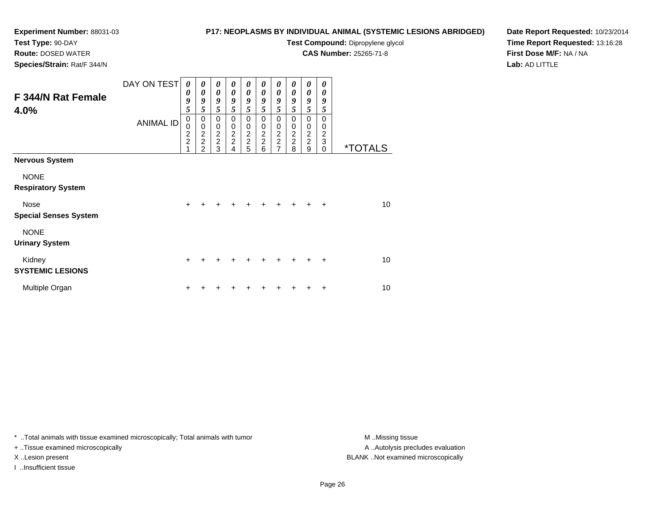# **Test Type:** 90-DAY

**Route:** DOSED WATER

**Species/Strain:** Rat/F 344/N

# **P17: NEOPLASMS BY INDIVIDUAL ANIMAL (SYSTEMIC LESIONS ABRIDGED)**

**Test Compound:** Dipropylene glycol

**CAS Number:** 25265-71-8

**Date Report Requested:** 10/23/2014**Time Report Requested:** 13:16:28**First Dose M/F:** NA / NA**Lab:** AD LITTLE

| F 344/N Rat Female<br>4.0%                  | DAY ON TEST<br><b>ANIMAL ID</b> | 0<br>0<br>9<br>5                | 0<br>0<br>9<br>5             | 0<br>$\boldsymbol{\theta}$<br>9<br>5 | 0<br>$\boldsymbol{\theta}$<br>9<br>5 | 0<br>$\boldsymbol{\theta}$<br>9<br>$\overline{5}$ | 0<br>0<br>9<br>5                     | 0<br>0<br>9<br>5                          | 0<br>0<br>9<br>5             | 0<br>0<br>9<br>5                            | 0<br>0<br>9<br>5                                          |                       |
|---------------------------------------------|---------------------------------|---------------------------------|------------------------------|--------------------------------------|--------------------------------------|---------------------------------------------------|--------------------------------------|-------------------------------------------|------------------------------|---------------------------------------------|-----------------------------------------------------------|-----------------------|
|                                             |                                 | $\pmb{0}$<br>0<br>$\frac{2}{2}$ | 0<br>0<br>$\frac{2}{2}$<br>2 | 0<br>$\pmb{0}$<br>$\frac{2}{2}$<br>3 | 0<br>$\pmb{0}$<br>$\frac{2}{2}$<br>4 | 0<br>$\pmb{0}$<br>$\frac{2}{2}$<br>5              | 0<br>$\pmb{0}$<br>$\frac{2}{2}$<br>6 | 0<br>0<br>$\frac{2}{2}$<br>$\overline{7}$ | 0<br>0<br>$\frac{2}{2}$<br>8 | 0<br>$\boldsymbol{0}$<br>$\frac{2}{2}$<br>9 | $\Omega$<br>0<br>$\overline{\mathbf{c}}$<br>3<br>$\Omega$ | <i><b>*TOTALS</b></i> |
| <b>Nervous System</b>                       |                                 |                                 |                              |                                      |                                      |                                                   |                                      |                                           |                              |                                             |                                                           |                       |
| <b>NONE</b><br><b>Respiratory System</b>    |                                 |                                 |                              |                                      |                                      |                                                   |                                      |                                           |                              |                                             |                                                           |                       |
| <b>Nose</b><br><b>Special Senses System</b> |                                 | $\ddot{}$                       |                              |                                      |                                      | +                                                 |                                      |                                           |                              |                                             | $\ddot{}$                                                 | 10                    |
| <b>NONE</b><br><b>Urinary System</b>        |                                 |                                 |                              |                                      |                                      |                                                   |                                      |                                           |                              |                                             |                                                           |                       |
| Kidney<br><b>SYSTEMIC LESIONS</b>           |                                 | $\ddot{}$                       |                              |                                      |                                      |                                                   |                                      |                                           |                              |                                             | ÷                                                         | 10                    |
| Multiple Organ                              |                                 | ٠                               |                              |                                      |                                      |                                                   |                                      |                                           |                              |                                             | ٠                                                         | 10                    |

\* ..Total animals with tissue examined microscopically; Total animals with tumor **M** . Missing tissue M ..Missing tissue

+ ..Tissue examined microscopically

I ..Insufficient tissue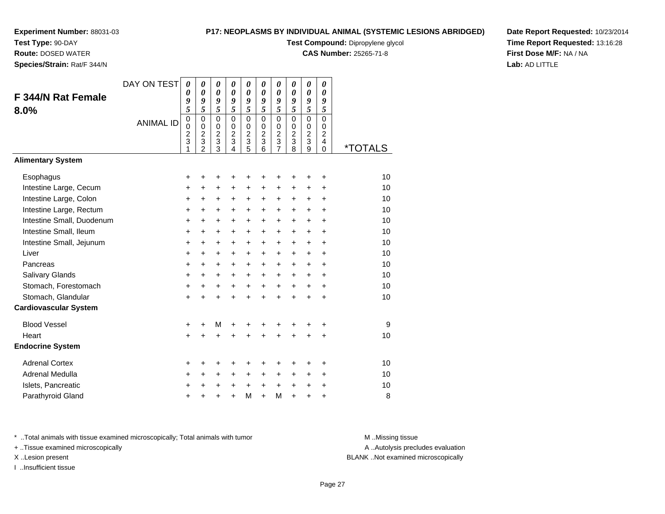**Test Type:** 90-DAY

**Route:** DOSED WATER

**Species/Strain:** Rat/F 344/N

### **P17: NEOPLASMS BY INDIVIDUAL ANIMAL (SYSTEMIC LESIONS ABRIDGED)**

**Test Compound:** Dipropylene glycol

**CAS Number:** 25265-71-8

**Date Report Requested:** 10/23/2014**Time Report Requested:** 13:16:28**First Dose M/F:** NA / NA**Lab:** AD LITTLE

| F 344/N Rat Female<br>8.0%        | DAY ON TEST<br><b>ANIMAL ID</b> | 0<br>$\boldsymbol{\theta}$<br>9<br>5<br>$\mathbf 0$<br>$\pmb{0}$<br>$\boldsymbol{2}$<br>3<br>1 | 0<br>$\boldsymbol{\theta}$<br>9<br>$\overline{5}$<br>$\mathbf 0$<br>$\pmb{0}$<br>$\boldsymbol{2}$<br>3<br>$\overline{2}$ | 0<br>$\boldsymbol{\theta}$<br>9<br>$\overline{5}$<br>$\mathbf 0$<br>$\pmb{0}$<br>$\boldsymbol{2}$<br>3<br>3 | 0<br>$\boldsymbol{\theta}$<br>9<br>$\overline{5}$<br>$\Omega$<br>$\mathbf 0$<br>$\boldsymbol{2}$<br>3<br>4 | 0<br>$\boldsymbol{\theta}$<br>9<br>$\overline{5}$<br>$\mathbf 0$<br>$\,0\,$<br>$\boldsymbol{2}$<br>3<br>5 | 0<br>0<br>9<br>$\overline{5}$<br>$\Omega$<br>$\mathbf 0$<br>$\overline{c}$<br>3<br>6 | 0<br>$\theta$<br>9<br>5<br>$\mathbf 0$<br>0<br>$\boldsymbol{2}$<br>3<br>$\overline{7}$ | 0<br>0<br>9<br>5<br>$\Omega$<br>$\mathbf 0$<br>$\overline{c}$<br>3<br>8 | 0<br>$\boldsymbol{\theta}$<br>9<br>5<br>$\mathbf 0$<br>$\mathbf 0$<br>$\overline{2}$<br>3<br>9 | 0<br>$\boldsymbol{\theta}$<br>9<br>5<br>0<br>$\mathbf 0$<br>$\overline{c}$<br>4<br>$\Omega$ | <i><b>*TOTALS</b></i> |
|-----------------------------------|---------------------------------|------------------------------------------------------------------------------------------------|--------------------------------------------------------------------------------------------------------------------------|-------------------------------------------------------------------------------------------------------------|------------------------------------------------------------------------------------------------------------|-----------------------------------------------------------------------------------------------------------|--------------------------------------------------------------------------------------|----------------------------------------------------------------------------------------|-------------------------------------------------------------------------|------------------------------------------------------------------------------------------------|---------------------------------------------------------------------------------------------|-----------------------|
| <b>Alimentary System</b>          |                                 |                                                                                                |                                                                                                                          |                                                                                                             |                                                                                                            |                                                                                                           |                                                                                      |                                                                                        |                                                                         |                                                                                                |                                                                                             |                       |
| Esophagus                         |                                 | +                                                                                              | $\ddot{}$                                                                                                                | $\ddot{}$                                                                                                   | +                                                                                                          | +                                                                                                         | +                                                                                    | +                                                                                      | +                                                                       | +                                                                                              | $\ddot{}$                                                                                   | 10                    |
| Intestine Large, Cecum            |                                 | +                                                                                              | +                                                                                                                        | $\ddot{}$                                                                                                   | $\ddot{}$                                                                                                  | $\ddot{}$                                                                                                 | $\ddot{}$                                                                            | +                                                                                      | +                                                                       | +                                                                                              | $\ddot{}$                                                                                   | 10                    |
| Intestine Large, Colon            |                                 | +                                                                                              | $\ddot{}$                                                                                                                | +                                                                                                           | $\ddot{}$                                                                                                  | $\ddot{}$                                                                                                 | $\ddot{}$                                                                            | +                                                                                      | $\ddot{}$                                                               | $\ddot{}$                                                                                      | $\ddot{}$                                                                                   | 10                    |
| Intestine Large, Rectum           |                                 | +                                                                                              | $\ddot{}$                                                                                                                | +                                                                                                           | $\ddot{}$                                                                                                  | +                                                                                                         | +                                                                                    | +                                                                                      | +                                                                       | $\ddot{}$                                                                                      | $\ddot{}$                                                                                   | 10                    |
| Intestine Small, Duodenum         |                                 | +                                                                                              | $\ddot{}$                                                                                                                | +                                                                                                           | $\ddot{}$                                                                                                  | $\ddot{}$                                                                                                 | $\ddot{}$                                                                            | +                                                                                      | +                                                                       | +                                                                                              | $\ddot{}$                                                                                   | 10<br>10              |
| Intestine Small, Ileum            |                                 | $\ddot{}$                                                                                      | $\ddot{}$                                                                                                                | $\ddot{}$                                                                                                   | $\ddot{}$                                                                                                  | $\ddot{}$                                                                                                 | $\ddot{}$                                                                            | $\ddot{}$                                                                              | $\ddot{}$                                                               | $\ddot{}$                                                                                      | $\ddot{}$                                                                                   |                       |
| Intestine Small, Jejunum<br>Liver |                                 | +                                                                                              | $\ddot{}$                                                                                                                | $\ddot{}$                                                                                                   | $\ddot{}$                                                                                                  | $\ddot{}$                                                                                                 | $+$                                                                                  | $\ddot{}$                                                                              | $\ddot{}$                                                               | $\ddot{}$                                                                                      | $\ddot{}$<br>$\ddot{}$                                                                      | 10<br>10              |
| Pancreas                          |                                 | +<br>+                                                                                         | $\ddot{}$<br>$\ddot{}$                                                                                                   | $\ddot{}$<br>$\ddot{}$                                                                                      | $\ddot{}$<br>$\ddot{}$                                                                                     | $\ddot{}$<br>$\ddot{}$                                                                                    | $\ddot{}$<br>$\ddot{}$                                                               | $\ddot{}$<br>$\ddot{}$                                                                 | $\ddot{}$<br>$\ddot{}$                                                  | $\ddot{}$<br>$\ddot{}$                                                                         | $\ddot{}$                                                                                   | 10                    |
| <b>Salivary Glands</b>            |                                 | +                                                                                              | +                                                                                                                        | +                                                                                                           | +                                                                                                          | +                                                                                                         | +                                                                                    | +                                                                                      | $\ddot{}$                                                               | $\ddot{}$                                                                                      | $\ddot{}$                                                                                   | 10                    |
| Stomach, Forestomach              |                                 | +                                                                                              | $\ddot{}$                                                                                                                | $\ddot{}$                                                                                                   | $\ddot{}$                                                                                                  | $\ddot{}$                                                                                                 | $+$                                                                                  | $+$                                                                                    | $\ddot{}$                                                               | $\ddot{}$                                                                                      | $\ddot{}$                                                                                   | 10                    |
| Stomach, Glandular                |                                 | $\ddot{}$                                                                                      | $\ddot{}$                                                                                                                | $\ddot{}$                                                                                                   | $+$                                                                                                        | $\ddot{}$                                                                                                 | $\ddot{}$                                                                            | $\ddot{}$                                                                              | $\ddot{}$                                                               | $\ddot{}$                                                                                      | $\ddot{}$                                                                                   | 10                    |
| <b>Cardiovascular System</b>      |                                 |                                                                                                |                                                                                                                          |                                                                                                             |                                                                                                            |                                                                                                           |                                                                                      |                                                                                        |                                                                         |                                                                                                |                                                                                             |                       |
| <b>Blood Vessel</b>               |                                 | +                                                                                              | +                                                                                                                        | M                                                                                                           | +                                                                                                          |                                                                                                           |                                                                                      | +                                                                                      | +                                                                       | +                                                                                              | +                                                                                           | 9                     |
| Heart                             |                                 | $\ddot{}$                                                                                      | +                                                                                                                        | $\ddot{}$                                                                                                   | +                                                                                                          |                                                                                                           |                                                                                      | ÷                                                                                      | ÷                                                                       | $\ddot{}$                                                                                      | $\ddot{}$                                                                                   | 10                    |
| <b>Endocrine System</b>           |                                 |                                                                                                |                                                                                                                          |                                                                                                             |                                                                                                            |                                                                                                           |                                                                                      |                                                                                        |                                                                         |                                                                                                |                                                                                             |                       |
| <b>Adrenal Cortex</b>             |                                 | ÷                                                                                              | ٠                                                                                                                        | +                                                                                                           | +                                                                                                          | +                                                                                                         | +                                                                                    | +                                                                                      | +                                                                       | +                                                                                              | +                                                                                           | 10                    |
| Adrenal Medulla                   |                                 | +                                                                                              | $\ddot{}$                                                                                                                | $\ddot{}$                                                                                                   | $\ddot{}$                                                                                                  | $\ddot{}$                                                                                                 | $\ddot{}$                                                                            | $\ddot{}$                                                                              | $\ddot{}$                                                               | $\ddot{}$                                                                                      | $\ddot{}$                                                                                   | 10                    |
| Islets, Pancreatic                |                                 | ٠                                                                                              | +                                                                                                                        | +                                                                                                           | +                                                                                                          | $\ddot{}$                                                                                                 | $\ddot{}$                                                                            | $\ddot{}$                                                                              | +                                                                       | +                                                                                              | +                                                                                           | 10                    |
| Parathyroid Gland                 |                                 | +                                                                                              |                                                                                                                          | +                                                                                                           | $\ddot{}$                                                                                                  | M                                                                                                         | $+$                                                                                  | M                                                                                      | $\ddot{}$                                                               | $\ddot{}$                                                                                      | +                                                                                           | 8                     |

\* ..Total animals with tissue examined microscopically; Total animals with tumor **M** . Missing tissue M ..Missing tissue

+ ..Tissue examined microscopically

I ..Insufficient tissue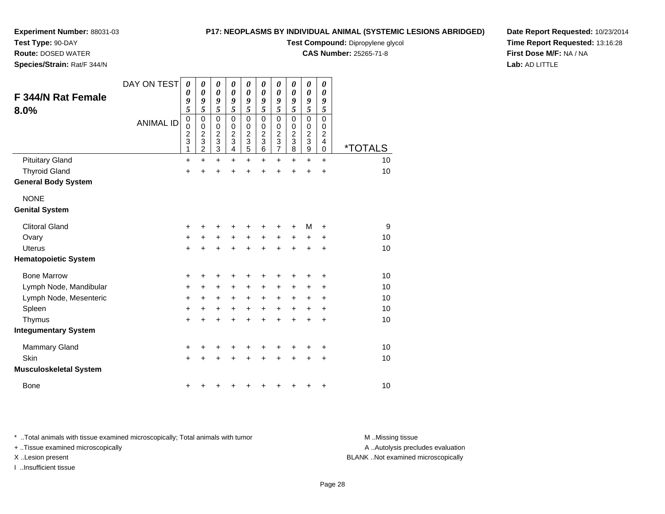**Test Type:** 90-DAY

**Route:** DOSED WATER

**Species/Strain:** Rat/F 344/N

## **P17: NEOPLASMS BY INDIVIDUAL ANIMAL (SYSTEMIC LESIONS ABRIDGED)**

**Test Compound:** Dipropylene glycol

**CAS Number:** 25265-71-8

**Date Report Requested:** 10/23/2014**Time Report Requested:** 13:16:28**First Dose M/F:** NA / NA**Lab:** AD LITTLE

| <b>F 344/N Rat Female</b><br>8.0% | DAY ON TEST<br><b>ANIMAL ID</b> | 0<br>0<br>9<br>5<br>$\pmb{0}$<br>0<br>$\frac{2}{3}$<br>1 | $\boldsymbol{\theta}$<br>0<br>9<br>5<br>$\mathbf 0$<br>0<br>$\frac{2}{3}$<br>$\overline{c}$ | 0<br>$\boldsymbol{\theta}$<br>9<br>5<br>$\mathbf 0$<br>$\frac{0}{2}$<br>$\mathbf{3}$ | 0<br>0<br>9<br>5<br>$\mathbf 0$<br>0<br>$\overline{2}$<br>$\ensuremath{\mathsf{3}}$<br>4 | 0<br>$\boldsymbol{\theta}$<br>9<br>5<br>$\pmb{0}$<br>$\begin{array}{c} 0 \\ 2 \\ 3 \end{array}$<br>$\overline{5}$ | 0<br>0<br>9<br>5<br>$\mathbf 0$<br>0<br>$\overline{c}$<br>$\ensuremath{\mathsf{3}}$<br>6 | 0<br>$\boldsymbol{\theta}$<br>9<br>5<br>$\mathsf 0$<br>0<br>$\frac{2}{3}$<br>$\overline{7}$ | 0<br>0<br>9<br>5<br>$\mathbf 0$<br>0<br>$\overline{c}$<br>$\ensuremath{\mathsf{3}}$<br>8 | 0<br>$\boldsymbol{\theta}$<br>9<br>5<br>$\mathbf 0$<br>$\frac{0}{2}$<br>9 | $\boldsymbol{\theta}$<br>0<br>9<br>5<br>$\mathbf 0$<br>0<br>$\boldsymbol{2}$<br>$\overline{4}$<br>$\mathbf 0$ | <i><b>*TOTALS</b></i> |
|-----------------------------------|---------------------------------|----------------------------------------------------------|---------------------------------------------------------------------------------------------|--------------------------------------------------------------------------------------|------------------------------------------------------------------------------------------|-------------------------------------------------------------------------------------------------------------------|------------------------------------------------------------------------------------------|---------------------------------------------------------------------------------------------|------------------------------------------------------------------------------------------|---------------------------------------------------------------------------|---------------------------------------------------------------------------------------------------------------|-----------------------|
| <b>Pituitary Gland</b>            |                                 | $\ddot{}$                                                | $\ddot{}$                                                                                   | $\ddot{}$                                                                            | +                                                                                        | $\ddot{}$                                                                                                         | $\ddot{}$                                                                                | $\ddot{}$                                                                                   | $\ddot{}$                                                                                | $\ddot{}$                                                                 | $\ddot{}$                                                                                                     | 10                    |
| <b>Thyroid Gland</b>              |                                 | $\ddot{}$                                                | $\ddot{}$                                                                                   | $\ddot{}$                                                                            | $\ddot{}$                                                                                | $\ddot{}$                                                                                                         | Ŧ.                                                                                       | +                                                                                           | $\ddot{}$                                                                                | $\ddot{}$                                                                 | $\ddot{}$                                                                                                     | 10                    |
| <b>General Body System</b>        |                                 |                                                          |                                                                                             |                                                                                      |                                                                                          |                                                                                                                   |                                                                                          |                                                                                             |                                                                                          |                                                                           |                                                                                                               |                       |
| <b>NONE</b>                       |                                 |                                                          |                                                                                             |                                                                                      |                                                                                          |                                                                                                                   |                                                                                          |                                                                                             |                                                                                          |                                                                           |                                                                                                               |                       |
| <b>Genital System</b>             |                                 |                                                          |                                                                                             |                                                                                      |                                                                                          |                                                                                                                   |                                                                                          |                                                                                             |                                                                                          |                                                                           |                                                                                                               |                       |
| <b>Clitoral Gland</b>             |                                 | +                                                        | +                                                                                           | +                                                                                    | +                                                                                        | +                                                                                                                 | +                                                                                        | +                                                                                           | +                                                                                        | M                                                                         | +                                                                                                             | 9                     |
| Ovary                             |                                 | +                                                        | +                                                                                           | +                                                                                    | $\ddot{}$                                                                                | $\ddot{}$                                                                                                         | $\ddot{}$                                                                                | +                                                                                           | $\ddot{}$                                                                                | +                                                                         | $\ddot{}$                                                                                                     | 10                    |
| <b>Uterus</b>                     |                                 | +                                                        | $\ddot{}$                                                                                   | $\ddot{}$                                                                            | $\ddot{}$                                                                                | $\ddot{}$                                                                                                         | $\ddot{}$                                                                                | $\ddot{}$                                                                                   | $\ddot{}$                                                                                | +                                                                         | $\ddot{}$                                                                                                     | 10                    |
| <b>Hematopoietic System</b>       |                                 |                                                          |                                                                                             |                                                                                      |                                                                                          |                                                                                                                   |                                                                                          |                                                                                             |                                                                                          |                                                                           |                                                                                                               |                       |
| <b>Bone Marrow</b>                |                                 | +                                                        | +                                                                                           | +                                                                                    | +                                                                                        | +                                                                                                                 | +                                                                                        | +                                                                                           | +                                                                                        | +                                                                         | ٠                                                                                                             | 10                    |
| Lymph Node, Mandibular            |                                 | +                                                        | +                                                                                           | $\ddot{}$                                                                            | +                                                                                        | $\ddot{}$                                                                                                         | +                                                                                        | +                                                                                           | +                                                                                        | +                                                                         | +                                                                                                             | 10                    |
| Lymph Node, Mesenteric            |                                 | +                                                        | +                                                                                           | +                                                                                    | $\ddot{}$                                                                                | $\ddot{}$                                                                                                         | $\ddot{}$                                                                                | +                                                                                           | $\ddot{}$                                                                                | +                                                                         | $\ddot{}$                                                                                                     | 10                    |
| Spleen                            |                                 | $\ddot{}$                                                | $\ddot{}$                                                                                   | $\ddot{}$                                                                            | $\ddot{}$                                                                                | $\ddot{}$                                                                                                         | $\ddot{}$                                                                                | $\ddot{}$                                                                                   | $\ddot{}$                                                                                | $\ddot{}$                                                                 | $\ddot{}$                                                                                                     | 10                    |
| Thymus                            |                                 | $\ddot{}$                                                | +                                                                                           | $\ddot{}$                                                                            | $\ddot{}$                                                                                | $\ddot{}$                                                                                                         | $\ddot{}$                                                                                | $\ddot{}$                                                                                   | $\ddot{}$                                                                                | $\ddot{}$                                                                 | $\ddot{}$                                                                                                     | 10                    |
| <b>Integumentary System</b>       |                                 |                                                          |                                                                                             |                                                                                      |                                                                                          |                                                                                                                   |                                                                                          |                                                                                             |                                                                                          |                                                                           |                                                                                                               |                       |
| <b>Mammary Gland</b>              |                                 | +                                                        | +                                                                                           | +                                                                                    |                                                                                          | +                                                                                                                 | +                                                                                        | +                                                                                           | +                                                                                        | +                                                                         | +                                                                                                             | 10                    |
| Skin                              |                                 | $\ddot{}$                                                | +                                                                                           | $\ddot{}$                                                                            | $\ddot{}$                                                                                | $\ddot{}$                                                                                                         | $\ddot{}$                                                                                | $\ddot{}$                                                                                   | $\ddot{}$                                                                                | +                                                                         | +                                                                                                             | 10                    |
| <b>Musculoskeletal System</b>     |                                 |                                                          |                                                                                             |                                                                                      |                                                                                          |                                                                                                                   |                                                                                          |                                                                                             |                                                                                          |                                                                           |                                                                                                               |                       |
| <b>Bone</b>                       |                                 | +                                                        |                                                                                             |                                                                                      |                                                                                          |                                                                                                                   | ٠                                                                                        | +                                                                                           | +                                                                                        | +                                                                         | $\ddot{}$                                                                                                     | 10                    |

\* ..Total animals with tissue examined microscopically; Total animals with tumor **M** . Missing tissue M ..Missing tissue

+ ..Tissue examined microscopically

I ..Insufficient tissue